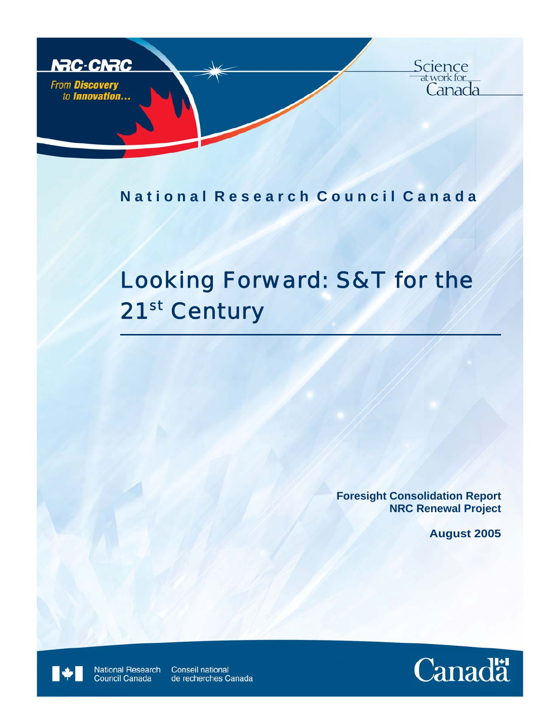

## National Research Council Canada

# Looking Forward: S&T for the 21<sup>st</sup> Century

**Foresight Consolidation Report NRC Renewal Project** 

**August 2005**

National Research<br>Council Canada Conseil national de recherches Canada

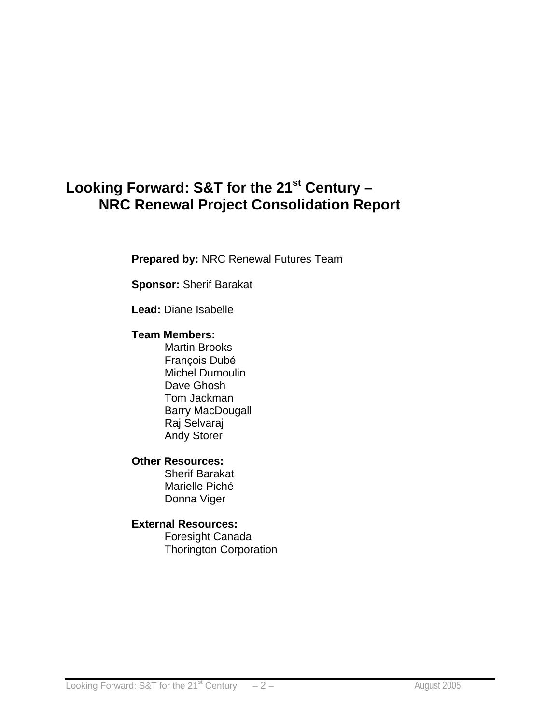# Looking Forward: S&T for the 21<sup>st</sup> Century -**NRC Renewal Project Consolidation Report**

**Prepared by:** NRC Renewal Futures Team

**Sponsor:** Sherif Barakat

**Lead:** Diane Isabelle

## **Team Members:**

Martin Brooks François Dubé Michel Dumoulin Dave Ghosh Tom Jackman Barry MacDougall Raj Selvaraj Andy Storer

## **Other Resources:**

Sherif Barakat Marielle Piché Donna Viger

## **External Resources:**

 Foresight Canada Thorington Corporation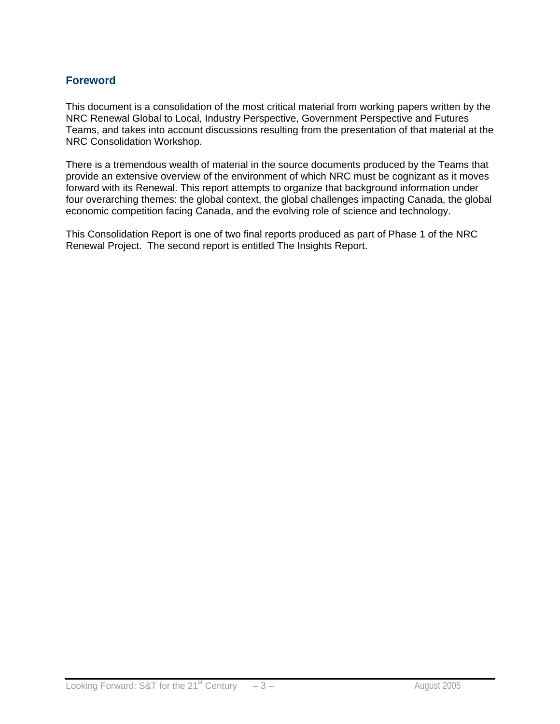## **Foreword**

This document is a consolidation of the most critical material from working papers written by the NRC Renewal Global to Local, Industry Perspective, Government Perspective and Futures Teams, and takes into account discussions resulting from the presentation of that material at the NRC Consolidation Workshop.

There is a tremendous wealth of material in the source documents produced by the Teams that provide an extensive overview of the environment of which NRC must be cognizant as it moves forward with its Renewal. This report attempts to organize that background information under four overarching themes: the global context, the global challenges impacting Canada, the global economic competition facing Canada, and the evolving role of science and technology.

This Consolidation Report is one of two final reports produced as part of Phase 1 of the NRC Renewal Project. The second report is entitled The Insights Report.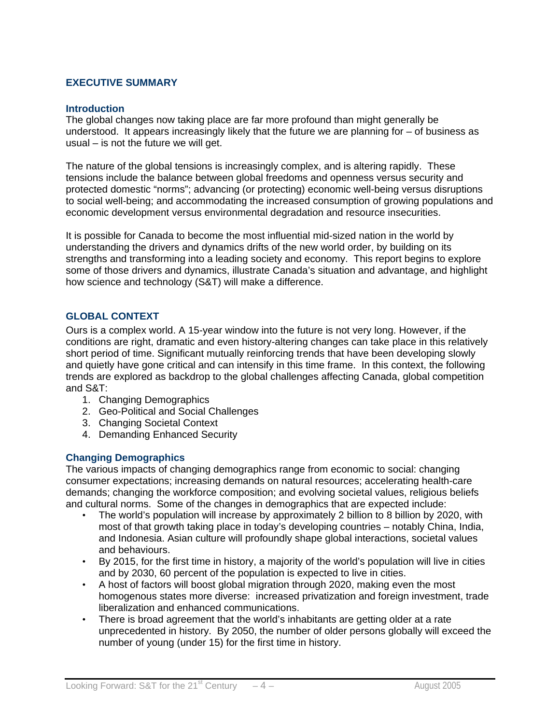#### **EXECUTIVE SUMMARY**

#### **Introduction**

The global changes now taking place are far more profound than might generally be understood. It appears increasingly likely that the future we are planning for – of business as usual – is not the future we will get.

The nature of the global tensions is increasingly complex, and is altering rapidly. These tensions include the balance between global freedoms and openness versus security and protected domestic "norms"; advancing (or protecting) economic well-being versus disruptions to social well-being; and accommodating the increased consumption of growing populations and economic development versus environmental degradation and resource insecurities.

It is possible for Canada to become the most influential mid-sized nation in the world by understanding the drivers and dynamics drifts of the new world order, by building on its strengths and transforming into a leading society and economy. This report begins to explore some of those drivers and dynamics, illustrate Canada's situation and advantage, and highlight how science and technology (S&T) will make a difference.

#### **GLOBAL CONTEXT**

Ours is a complex world. A 15-year window into the future is not very long. However, if the conditions are right, dramatic and even history-altering changes can take place in this relatively short period of time. Significant mutually reinforcing trends that have been developing slowly and quietly have gone critical and can intensify in this time frame. In this context, the following trends are explored as backdrop to the global challenges affecting Canada, global competition and S&T:

- 1. Changing Demographics
- 2. Geo-Political and Social Challenges
- 3. Changing Societal Context
- 4. Demanding Enhanced Security

#### **Changing Demographics**

The various impacts of changing demographics range from economic to social: changing consumer expectations; increasing demands on natural resources; accelerating health-care demands; changing the workforce composition; and evolving societal values, religious beliefs and cultural norms. Some of the changes in demographics that are expected include:

- The world's population will increase by approximately 2 billion to 8 billion by 2020, with most of that growth taking place in today's developing countries – notably China, India, and Indonesia. Asian culture will profoundly shape global interactions, societal values and behaviours.
- By 2015, for the first time in history, a majority of the world's population will live in cities and by 2030, 60 percent of the population is expected to live in cities.
- A host of factors will boost global migration through 2020, making even the most homogenous states more diverse: increased privatization and foreign investment, trade liberalization and enhanced communications.
- There is broad agreement that the world's inhabitants are getting older at a rate unprecedented in history. By 2050, the number of older persons globally will exceed the number of young (under 15) for the first time in history.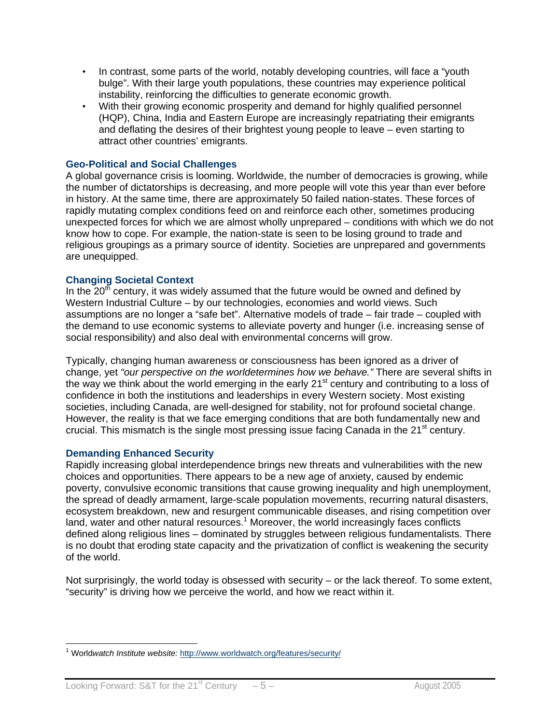- In contrast, some parts of the world, notably developing countries, will face a "youth bulge". With their large youth populations, these countries may experience political instability, reinforcing the difficulties to generate economic growth.
- With their growing economic prosperity and demand for highly qualified personnel (HQP), China, India and Eastern Europe are increasingly repatriating their emigrants and deflating the desires of their brightest young people to leave – even starting to attract other countries' emigrants.

#### **Geo-Political and Social Challenges**

A global governance crisis is looming. Worldwide, the number of democracies is growing, while the number of dictatorships is decreasing, and more people will vote this year than ever before in history. At the same time, there are approximately 50 failed nation-states. These forces of rapidly mutating complex conditions feed on and reinforce each other, sometimes producing unexpected forces for which we are almost wholly unprepared – conditions with which we do not know how to cope. For example, the nation-state is seen to be losing ground to trade and religious groupings as a primary source of identity. Societies are unprepared and governments are unequipped.

#### **Changing Societal Context**

In the  $20<sup>th</sup>$  century, it was widely assumed that the future would be owned and defined by Western Industrial Culture – by our technologies, economies and world views. Such assumptions are no longer a "safe bet". Alternative models of trade – fair trade – coupled with the demand to use economic systems to alleviate poverty and hunger (i.e. increasing sense of social responsibility) and also deal with environmental concerns will grow.

Typically, changing human awareness or consciousness has been ignored as a driver of change, yet *"our perspective on the worldetermines how we behave."* There are several shifts in the way we think about the world emerging in the early 21<sup>st</sup> century and contributing to a loss of confidence in both the institutions and leaderships in every Western society. Most existing societies, including Canada, are well-designed for stability, not for profound societal change. However, the reality is that we face emerging conditions that are both fundamentally new and crucial. This mismatch is the single most pressing issue facing Canada in the  $21<sup>st</sup>$  century.

#### **Demanding Enhanced Security**

Rapidly increasing global interdependence brings new threats and vulnerabilities with the new choices and opportunities. There appears to be a new age of anxiety, caused by endemic poverty, convulsive economic transitions that cause growing inequality and high unemployment, the spread of deadly armament, large-scale population movements, recurring natural disasters, ecosystem breakdown, new and resurgent communicable diseases, and rising competition over land, water and other natural resources.<sup>1</sup> Moreover, the world increasingly faces conflicts defined along religious lines – dominated by struggles between religious fundamentalists. There is no doubt that eroding state capacity and the privatization of conflict is weakening the security of the world.

Not surprisingly, the world today is obsessed with security – or the lack thereof. To some extent, "security" is driving how we perceive the world, and how we react within it.

 $\overline{a}$ <sup>1</sup> Worldwatch Institute website: http://www.worldwatch.org/features/security/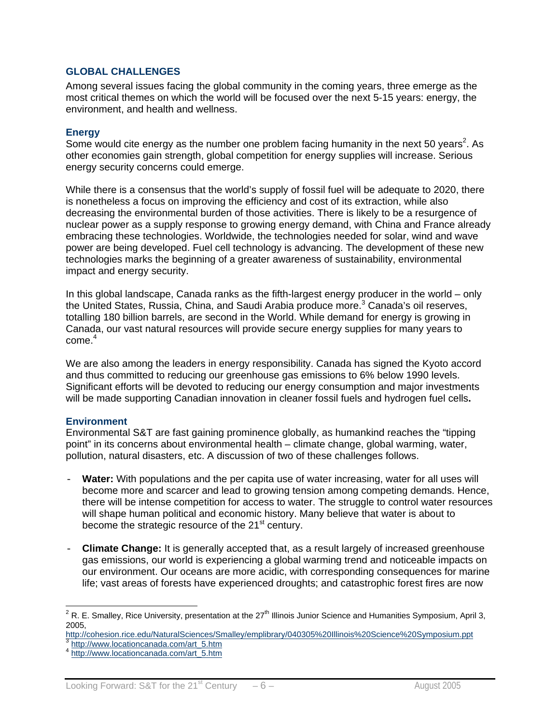#### **GLOBAL CHALLENGES**

Among several issues facing the global community in the coming years, three emerge as the most critical themes on which the world will be focused over the next 5-15 years: energy, the environment, and health and wellness.

#### **Energy**

Some would cite energy as the number one problem facing humanity in the next 50 years<sup>2</sup>. As other economies gain strength, global competition for energy supplies will increase. Serious energy security concerns could emerge.

While there is a consensus that the world's supply of fossil fuel will be adequate to 2020, there is nonetheless a focus on improving the efficiency and cost of its extraction, while also decreasing the environmental burden of those activities. There is likely to be a resurgence of nuclear power as a supply response to growing energy demand, with China and France already embracing these technologies. Worldwide, the technologies needed for solar, wind and wave power are being developed. Fuel cell technology is advancing. The development of these new technologies marks the beginning of a greater awareness of sustainability, environmental impact and energy security.

In this global landscape, Canada ranks as the fifth-largest energy producer in the world – only the United States, Russia, China, and Saudi Arabia produce more.<sup>3</sup> Canada's oil reserves, totalling 180 billion barrels, are second in the World. While demand for energy is growing in Canada, our vast natural resources will provide secure energy supplies for many years to  $come.<sup>4</sup>$ 

We are also among the leaders in energy responsibility. Canada has signed the Kyoto accord and thus committed to reducing our greenhouse gas emissions to 6% below 1990 levels. Significant efforts will be devoted to reducing our energy consumption and major investments will be made supporting Canadian innovation in cleaner fossil fuels and hydrogen fuel cells**.**

#### **Environment**

Environmental S&T are fast gaining prominence globally, as humankind reaches the "tipping point" in its concerns about environmental health – climate change, global warming, water, pollution, natural disasters, etc. A discussion of two of these challenges follows.

- **Water:** With populations and the per capita use of water increasing, water for all uses will become more and scarcer and lead to growing tension among competing demands. Hence, there will be intense competition for access to water. The struggle to control water resources will shape human political and economic history. Many believe that water is about to become the strategic resource of the 21<sup>st</sup> century.
- **Climate Change:** It is generally accepted that, as a result largely of increased greenhouse gas emissions, our world is experiencing a global warming trend and noticeable impacts on our environment. Our oceans are more acidic, with corresponding consequences for marine life; vast areas of forests have experienced droughts; and catastrophic forest fires are now

 2 R. E. Smalley, Rice University, presentation at the 27th Illinois Junior Science and Humanities Symposium, April 3, 2005,

http://cohesion.rice.edu/NaturalSciences/Smalley/emplibrary/040305%20Illinois%20Science%20Symposium.ppt 3<br>3 http://www.locationcanada.com/art\_5.htm 4 http://www.locationcanada.com/art\_5.htm 4 http://www.locationcanada.com/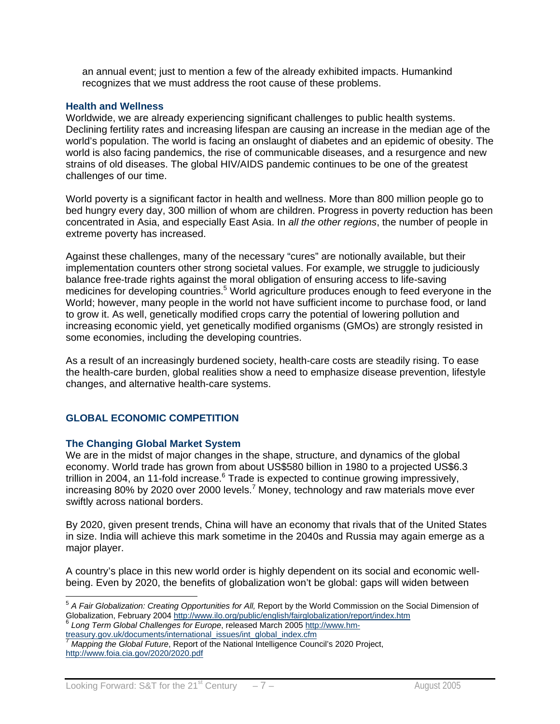an annual event; just to mention a few of the already exhibited impacts. Humankind recognizes that we must address the root cause of these problems.

#### **Health and Wellness**

Worldwide, we are already experiencing significant challenges to public health systems. Declining fertility rates and increasing lifespan are causing an increase in the median age of the world's population. The world is facing an onslaught of diabetes and an epidemic of obesity. The world is also facing pandemics, the rise of communicable diseases, and a resurgence and new strains of old diseases. The global HIV/AIDS pandemic continues to be one of the greatest challenges of our time.

World poverty is a significant factor in health and wellness. More than 800 million people go to bed hungry every day, 300 million of whom are children. Progress in poverty reduction has been concentrated in Asia, and especially East Asia. In *all the other regions*, the number of people in extreme poverty has increased.

Against these challenges, many of the necessary "cures" are notionally available, but their implementation counters other strong societal values. For example, we struggle to judiciously balance free-trade rights against the moral obligation of ensuring access to life-saving medicines for developing countries.<sup>5</sup> World agriculture produces enough to feed everyone in the World; however, many people in the world not have sufficient income to purchase food, or land to grow it. As well, genetically modified crops carry the potential of lowering pollution and increasing economic yield, yet genetically modified organisms (GMOs) are strongly resisted in some economies, including the developing countries.

As a result of an increasingly burdened society, health-care costs are steadily rising. To ease the health-care burden, global realities show a need to emphasize disease prevention, lifestyle changes, and alternative health-care systems.

#### **GLOBAL ECONOMIC COMPETITION**

#### **The Changing Global Market System**

We are in the midst of major changes in the shape, structure, and dynamics of the global economy. World trade has grown from about US\$580 billion in 1980 to a projected US\$6.3 trillion in 2004, an 11-fold increase.<sup>6</sup> Trade is expected to continue growing impressively, increasing 80% by 2020 over 2000 levels.<sup>7</sup> Money, technology and raw materials move ever swiftly across national borders.

By 2020, given present trends, China will have an economy that rivals that of the United States in size. India will achieve this mark sometime in the 2040s and Russia may again emerge as a major player.

A country's place in this new world order is highly dependent on its social and economic wellbeing. Even by 2020, the benefits of globalization won't be global: gaps will widen between

 $\overline{a}$ <sup>5</sup> *A Fair Globalization: Creating Opportunities for All,* Report by the World Commission on the Social Dimension of Globalization, February 2004 http://www.ilo.org/public/english/fairglobalization/report/index.htm <sup>6</sup> *Long Term Global Challenges for Europe*, released March 2005 http://www.hm-

treasury.gov.uk/documents/international\_issues/int\_global\_index.cfm

<sup>7</sup> *Mapping the Global Future*, Report of the National Intelligence Council's 2020 Project, http://www.foia.cia.gov/2020/2020.pdf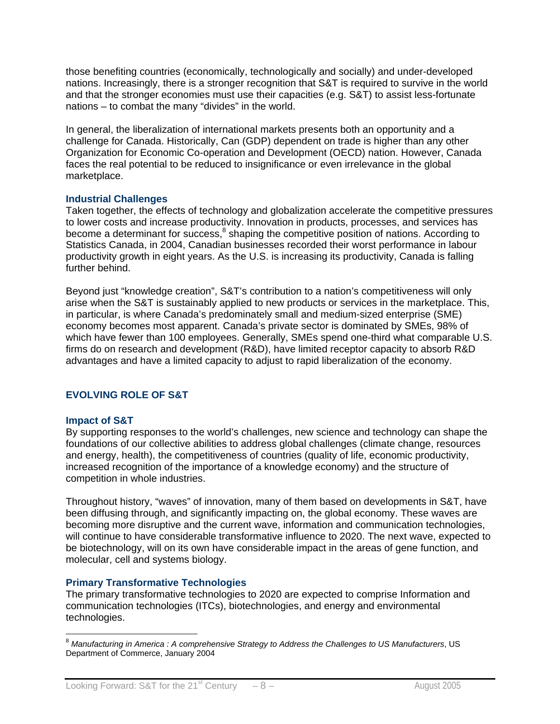those benefiting countries (economically, technologically and socially) and under-developed nations. Increasingly, there is a stronger recognition that S&T is required to survive in the world and that the stronger economies must use their capacities (e.g. S&T) to assist less-fortunate nations – to combat the many "divides" in the world.

In general, the liberalization of international markets presents both an opportunity and a challenge for Canada. Historically, Can (GDP) dependent on trade is higher than any other Organization for Economic Co-operation and Development (OECD) nation. However, Canada faces the real potential to be reduced to insignificance or even irrelevance in the global marketplace.

#### **Industrial Challenges**

Taken together, the effects of technology and globalization accelerate the competitive pressures to lower costs and increase productivity. Innovation in products, processes, and services has become a determinant for success,<sup>8</sup> shaping the competitive position of nations. According to Statistics Canada, in 2004, Canadian businesses recorded their worst performance in labour productivity growth in eight years. As the U.S. is increasing its productivity, Canada is falling further behind.

Beyond just "knowledge creation", S&T's contribution to a nation's competitiveness will only arise when the S&T is sustainably applied to new products or services in the marketplace. This, in particular, is where Canada's predominately small and medium-sized enterprise (SME) economy becomes most apparent. Canada's private sector is dominated by SMEs, 98% of which have fewer than 100 employees. Generally, SMEs spend one-third what comparable U.S. firms do on research and development (R&D), have limited receptor capacity to absorb R&D advantages and have a limited capacity to adjust to rapid liberalization of the economy.

## **EVOLVING ROLE OF S&T**

## **Impact of S&T**

 $\overline{a}$ 

By supporting responses to the world's challenges, new science and technology can shape the foundations of our collective abilities to address global challenges (climate change, resources and energy, health), the competitiveness of countries (quality of life, economic productivity, increased recognition of the importance of a knowledge economy) and the structure of competition in whole industries.

Throughout history, "waves" of innovation, many of them based on developments in S&T, have been diffusing through, and significantly impacting on, the global economy. These waves are becoming more disruptive and the current wave, information and communication technologies, will continue to have considerable transformative influence to 2020. The next wave, expected to be biotechnology, will on its own have considerable impact in the areas of gene function, and molecular, cell and systems biology.

## **Primary Transformative Technologies**

The primary transformative technologies to 2020 are expected to comprise Information and communication technologies (ITCs), biotechnologies, and energy and environmental technologies.

<sup>8</sup> *Manufacturing in America : A comprehensive Strategy to Address the Challenges to US Manufacturers*, US Department of Commerce, January 2004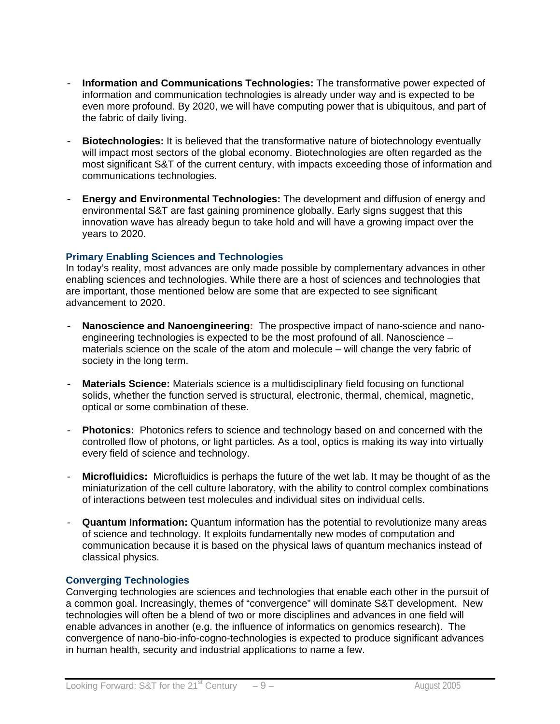- **Information and Communications Technologies:** The transformative power expected of information and communication technologies is already under way and is expected to be even more profound. By 2020, we will have computing power that is ubiquitous, and part of the fabric of daily living.
- **Biotechnologies:** It is believed that the transformative nature of biotechnology eventually will impact most sectors of the global economy. Biotechnologies are often regarded as the most significant S&T of the current century, with impacts exceeding those of information and communications technologies.
- **Energy and Environmental Technologies:** The development and diffusion of energy and environmental S&T are fast gaining prominence globally. Early signs suggest that this innovation wave has already begun to take hold and will have a growing impact over the years to 2020.

#### **Primary Enabling Sciences and Technologies**

In today's reality, most advances are only made possible by complementary advances in other enabling sciences and technologies. While there are a host of sciences and technologies that are important, those mentioned below are some that are expected to see significant advancement to 2020.

- **Nanoscience and Nanoengineering:** The prospective impact of nano-science and nanoengineering technologies is expected to be the most profound of all. Nanoscience – materials science on the scale of the atom and molecule – will change the very fabric of society in the long term.
- **Materials Science:** Materials science is a multidisciplinary field focusing on functional solids, whether the function served is structural, electronic, thermal, chemical, magnetic, optical or some combination of these.
- **Photonics:** Photonics refers to science and technology based on and concerned with the controlled flow of photons, or light particles. As a tool, optics is making its way into virtually every field of science and technology.
- **Microfluidics:** Microfluidics is perhaps the future of the wet lab. It may be thought of as the miniaturization of the cell culture laboratory, with the ability to control complex combinations of interactions between test molecules and individual sites on individual cells.
- **Quantum Information:** Quantum information has the potential to revolutionize many areas of science and technology. It exploits fundamentally new modes of computation and communication because it is based on the physical laws of quantum mechanics instead of classical physics.

#### **Converging Technologies**

Converging technologies are sciences and technologies that enable each other in the pursuit of a common goal. Increasingly, themes of "convergence" will dominate S&T development. New technologies will often be a blend of two or more disciplines and advances in one field will enable advances in another (e.g. the influence of informatics on genomics research). The convergence of nano-bio-info-cogno-technologies is expected to produce significant advances in human health, security and industrial applications to name a few.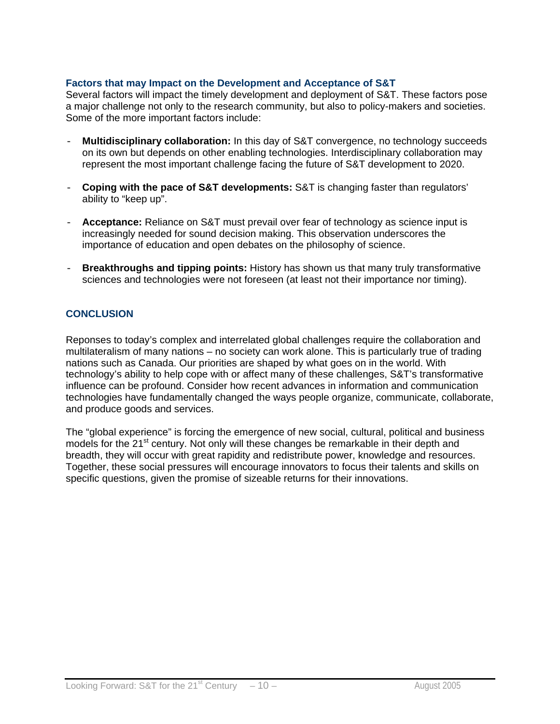#### **Factors that may Impact on the Development and Acceptance of S&T**

Several factors will impact the timely development and deployment of S&T. These factors pose a major challenge not only to the research community, but also to policy-makers and societies. Some of the more important factors include:

- **Multidisciplinary collaboration:** In this day of S&T convergence, no technology succeeds on its own but depends on other enabling technologies. Interdisciplinary collaboration may represent the most important challenge facing the future of S&T development to 2020.
- **Coping with the pace of S&T developments:** S&T is changing faster than regulators' ability to "keep up".
- Acceptance: Reliance on S&T must prevail over fear of technology as science input is increasingly needed for sound decision making. This observation underscores the importance of education and open debates on the philosophy of science.
- **Breakthroughs and tipping points:** History has shown us that many truly transformative sciences and technologies were not foreseen (at least not their importance nor timing).

#### **CONCLUSION**

Reponses to today's complex and interrelated global challenges require the collaboration and multilateralism of many nations – no society can work alone. This is particularly true of trading nations such as Canada. Our priorities are shaped by what goes on in the world. With technology's ability to help cope with or affect many of these challenges, S&T's transformative influence can be profound. Consider how recent advances in information and communication technologies have fundamentally changed the ways people organize, communicate, collaborate, and produce goods and services.

The "global experience" is forcing the emergence of new social, cultural, political and business models for the 21<sup>st</sup> century. Not only will these changes be remarkable in their depth and breadth, they will occur with great rapidity and redistribute power, knowledge and resources. Together, these social pressures will encourage innovators to focus their talents and skills on specific questions, given the promise of sizeable returns for their innovations.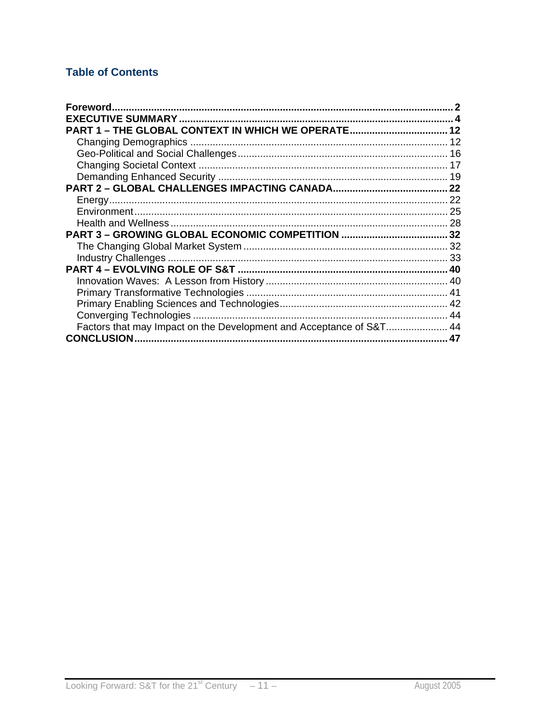## **Table of Contents**

| Factors that may Impact on the Development and Acceptance of S&T 44 |  |
|---------------------------------------------------------------------|--|
| <b>CONCLUSION</b>                                                   |  |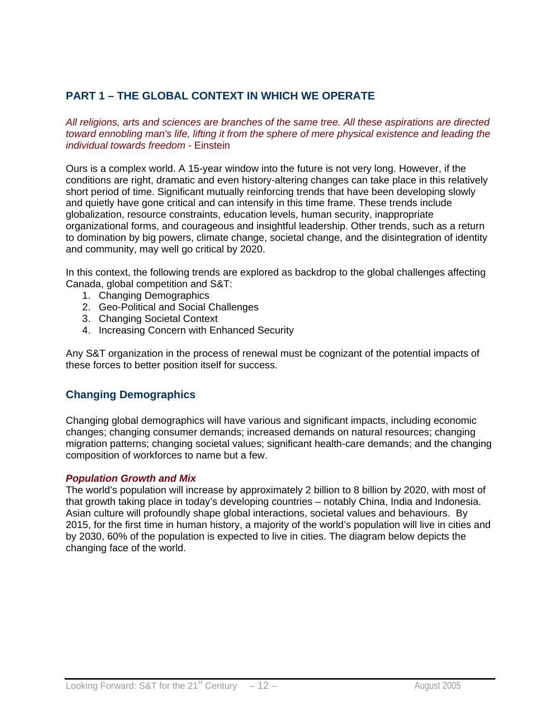## **PART 1 – THE GLOBAL CONTEXT IN WHICH WE OPERATE**

*All religions, arts and sciences are branches of the same tree. All these aspirations are directed toward ennobling man's life, lifting it from the sphere of mere physical existence and leading the individual towards freedom* - Einstein

Ours is a complex world. A 15-year window into the future is not very long. However, if the conditions are right, dramatic and even history-altering changes can take place in this relatively short period of time. Significant mutually reinforcing trends that have been developing slowly and quietly have gone critical and can intensify in this time frame. These trends include globalization, resource constraints, education levels, human security, inappropriate organizational forms, and courageous and insightful leadership. Other trends, such as a return to domination by big powers, climate change, societal change, and the disintegration of identity and community, may well go critical by 2020.

In this context, the following trends are explored as backdrop to the global challenges affecting Canada, global competition and S&T:

- 1. Changing Demographics
- 2. Geo-Political and Social Challenges
- 3. Changing Societal Context
- 4. Increasing Concern with Enhanced Security

Any S&T organization in the process of renewal must be cognizant of the potential impacts of these forces to better position itself for success.

## **Changing Demographics**

Changing global demographics will have various and significant impacts, including economic changes; changing consumer demands; increased demands on natural resources; changing migration patterns; changing societal values; significant health-care demands; and the changing composition of workforces to name but a few.

#### *Population Growth and Mix*

The world's population will increase by approximately 2 billion to 8 billion by 2020, with most of that growth taking place in today's developing countries – notably China, India and Indonesia. Asian culture will profoundly shape global interactions, societal values and behaviours. By 2015, for the first time in human history, a majority of the world's population will live in cities and by 2030, 60% of the population is expected to live in cities. The diagram below depicts the changing face of the world.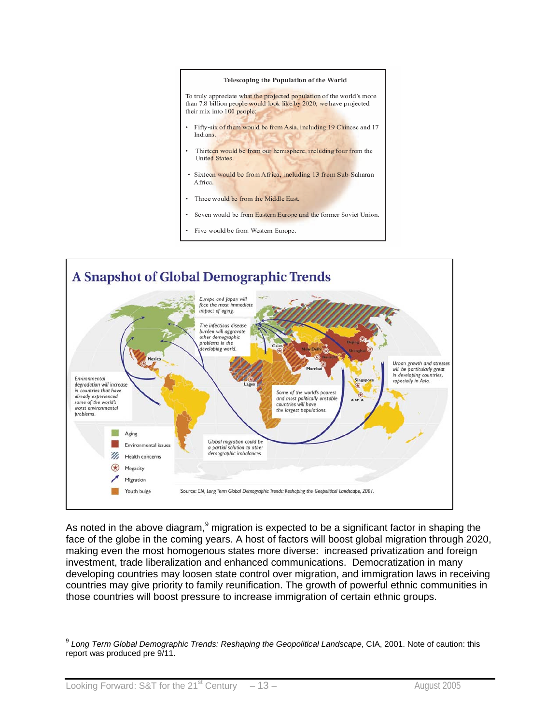

Five would be from Western Europe.



As noted in the above diagram, $9$  migration is expected to be a significant factor in shaping the face of the globe in the coming years. A host of factors will boost global migration through 2020, making even the most homogenous states more diverse: increased privatization and foreign investment, trade liberalization and enhanced communications. Democratization in many developing countries may loosen state control over migration, and immigration laws in receiving countries may give priority to family reunification. The growth of powerful ethnic communities in those countries will boost pressure to increase immigration of certain ethnic groups.

 $\overline{a}$ <sup>9</sup> *Long Term Global Demographic Trends: Reshaping the Geopolitical Landscape*, CIA, 2001. Note of caution: this report was produced pre 9/11.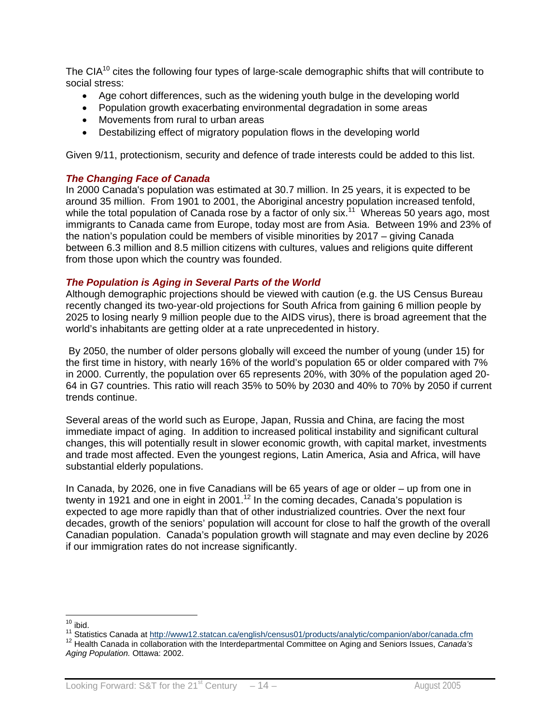The CIA<sup>10</sup> cites the following four types of large-scale demographic shifts that will contribute to social stress:

- Age cohort differences, such as the widening youth bulge in the developing world
- Population growth exacerbating environmental degradation in some areas
- Movements from rural to urban areas
- Destabilizing effect of migratory population flows in the developing world

Given 9/11, protectionism, security and defence of trade interests could be added to this list.

#### *The Changing Face of Canada*

In 2000 Canada's population was estimated at 30.7 million. In 25 years, it is expected to be around 35 million. From 1901 to 2001, the Aboriginal ancestry population increased tenfold, while the total population of Canada rose by a factor of only six.<sup>11</sup> Whereas 50 years ago, most immigrants to Canada came from Europe, today most are from Asia. Between 19% and 23% of the nation's population could be members of visible minorities by 2017 – giving Canada between 6.3 million and 8.5 million citizens with cultures, values and religions quite different from those upon which the country was founded.

#### *The Population is Aging in Several Parts of the World*

Although demographic projections should be viewed with caution (e.g. the US Census Bureau recently changed its two-year-old projections for South Africa from gaining 6 million people by 2025 to losing nearly 9 million people due to the AIDS virus), there is broad agreement that the world's inhabitants are getting older at a rate unprecedented in history.

 By 2050, the number of older persons globally will exceed the number of young (under 15) for the first time in history, with nearly 16% of the world's population 65 or older compared with 7% in 2000. Currently, the population over 65 represents 20%, with 30% of the population aged 20- 64 in G7 countries. This ratio will reach 35% to 50% by 2030 and 40% to 70% by 2050 if current trends continue.

Several areas of the world such as Europe, Japan, Russia and China, are facing the most immediate impact of aging. In addition to increased political instability and significant cultural changes, this will potentially result in slower economic growth, with capital market, investments and trade most affected. Even the youngest regions, Latin America, Asia and Africa, will have substantial elderly populations.

In Canada, by 2026, one in five Canadians will be 65 years of age or older – up from one in twenty in 1921 and one in eight in 2001.<sup>12</sup> In the coming decades, Canada's population is expected to age more rapidly than that of other industrialized countries. Over the next four decades, growth of the seniors' population will account for close to half the growth of the overall Canadian population. Canada's population growth will stagnate and may even decline by 2026 if our immigration rates do not increase significantly.

 $10$  ibid.

<sup>11</sup> Statistics Canada at http://www12.statcan.ca/english/census01/products/analytic/companion/abor/canada.cfm<br><sup>12</sup> Health Canada in collaboration with the Interdepartmental Committee on Aging and Seniors Issues, *Canada's* 

*Aging Population.* Ottawa: 2002.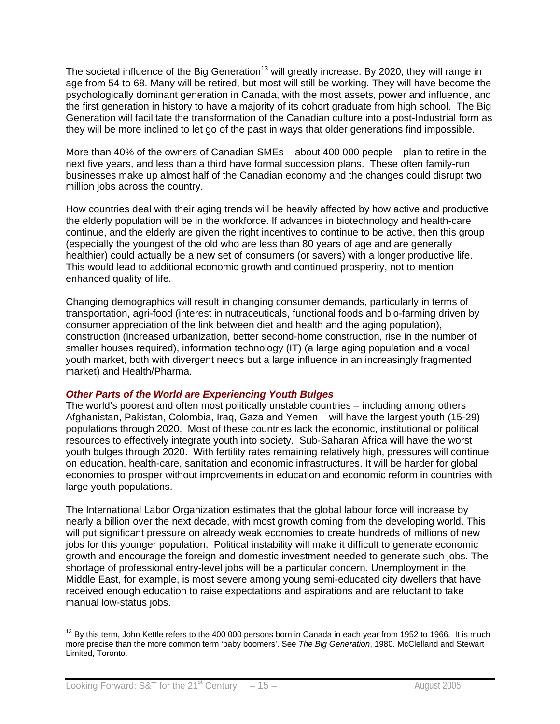The societal influence of the Big Generation<sup>13</sup> will greatly increase. By 2020, they will range in age from 54 to 68. Many will be retired, but most will still be working. They will have become the psychologically dominant generation in Canada, with the most assets, power and influence, and the first generation in history to have a majority of its cohort graduate from high school. The Big Generation will facilitate the transformation of the Canadian culture into a post-Industrial form as they will be more inclined to let go of the past in ways that older generations find impossible.

More than 40% of the owners of Canadian SMEs – about 400 000 people – plan to retire in the next five years, and less than a third have formal succession plans. These often family-run businesses make up almost half of the Canadian economy and the changes could disrupt two million jobs across the country.

How countries deal with their aging trends will be heavily affected by how active and productive the elderly population will be in the workforce. If advances in biotechnology and health-care continue, and the elderly are given the right incentives to continue to be active, then this group (especially the youngest of the old who are less than 80 years of age and are generally healthier) could actually be a new set of consumers (or savers) with a longer productive life. This would lead to additional economic growth and continued prosperity, not to mention enhanced quality of life.

Changing demographics will result in changing consumer demands, particularly in terms of transportation, agri-food (interest in nutraceuticals, functional foods and bio-farming driven by consumer appreciation of the link between diet and health and the aging population), construction (increased urbanization, better second-home construction, rise in the number of smaller houses required), information technology (IT) (a large aging population and a vocal youth market, both with divergent needs but a large influence in an increasingly fragmented market) and Health/Pharma.

#### *Other Parts of the World are Experiencing Youth Bulges*

The world's poorest and often most politically unstable countries – including among others Afghanistan, Pakistan, Colombia, Iraq, Gaza and Yemen – will have the largest youth (15-29) populations through 2020. Most of these countries lack the economic, institutional or political resources to effectively integrate youth into society. Sub-Saharan Africa will have the worst youth bulges through 2020. With fertility rates remaining relatively high, pressures will continue on education, health-care, sanitation and economic infrastructures. It will be harder for global economies to prosper without improvements in education and economic reform in countries with large youth populations.

The International Labor Organization estimates that the global labour force will increase by nearly a billion over the next decade, with most growth coming from the developing world. This will put significant pressure on already weak economies to create hundreds of millions of new jobs for this younger population. Political instability will make it difficult to generate economic growth and encourage the foreign and domestic investment needed to generate such jobs. The shortage of professional entry-level jobs will be a particular concern. Unemployment in the Middle East, for example, is most severe among young semi-educated city dwellers that have received enough education to raise expectations and aspirations and are reluctant to take manual low-status jobs.

 $\overline{a}$  $13$  By this term, John Kettle refers to the 400 000 persons born in Canada in each year from 1952 to 1966. It is much more precise than the more common term 'baby boomers'. See *The Big Generation*, 1980. McClelland and Stewart Limited, Toronto.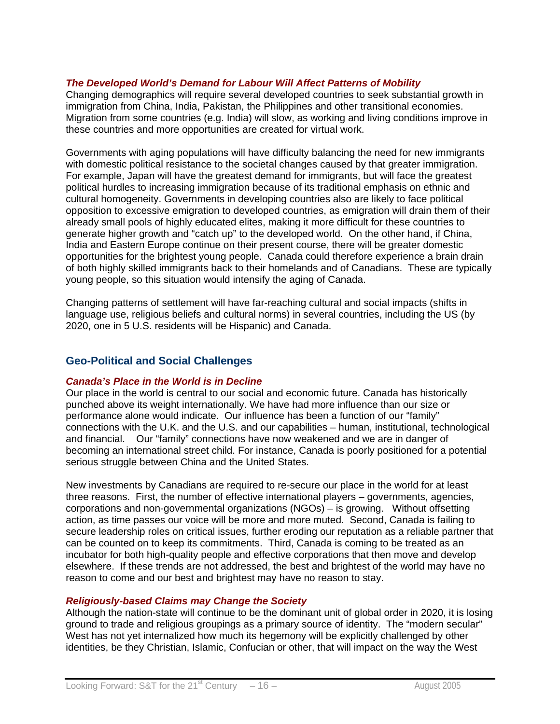#### *The Developed World's Demand for Labour Will Affect Patterns of Mobility*

Changing demographics will require several developed countries to seek substantial growth in immigration from China, India, Pakistan, the Philippines and other transitional economies. Migration from some countries (e.g. India) will slow, as working and living conditions improve in these countries and more opportunities are created for virtual work.

Governments with aging populations will have difficulty balancing the need for new immigrants with domestic political resistance to the societal changes caused by that greater immigration. For example, Japan will have the greatest demand for immigrants, but will face the greatest political hurdles to increasing immigration because of its traditional emphasis on ethnic and cultural homogeneity. Governments in developing countries also are likely to face political opposition to excessive emigration to developed countries, as emigration will drain them of their already small pools of highly educated elites, making it more difficult for these countries to generate higher growth and "catch up" to the developed world. On the other hand, if China, India and Eastern Europe continue on their present course, there will be greater domestic opportunities for the brightest young people. Canada could therefore experience a brain drain of both highly skilled immigrants back to their homelands and of Canadians. These are typically young people, so this situation would intensify the aging of Canada.

Changing patterns of settlement will have far-reaching cultural and social impacts (shifts in language use, religious beliefs and cultural norms) in several countries, including the US (by 2020, one in 5 U.S. residents will be Hispanic) and Canada.

#### **Geo-Political and Social Challenges**

#### *Canada's Place in the World is in Decline*

Our place in the world is central to our social and economic future. Canada has historically punched above its weight internationally. We have had more influence than our size or performance alone would indicate. Our influence has been a function of our "family" connections with the U.K. and the U.S. and our capabilities – human, institutional, technological and financial. Our "family" connections have now weakened and we are in danger of becoming an international street child. For instance, Canada is poorly positioned for a potential serious struggle between China and the United States.

New investments by Canadians are required to re-secure our place in the world for at least three reasons. First, the number of effective international players – governments, agencies, corporations and non-governmental organizations (NGOs) – is growing. Without offsetting action, as time passes our voice will be more and more muted. Second, Canada is failing to secure leadership roles on critical issues, further eroding our reputation as a reliable partner that can be counted on to keep its commitments. Third, Canada is coming to be treated as an incubator for both high-quality people and effective corporations that then move and develop elsewhere. If these trends are not addressed, the best and brightest of the world may have no reason to come and our best and brightest may have no reason to stay.

#### *Religiously-based Claims may Change the Society*

Although the nation-state will continue to be the dominant unit of global order in 2020, it is losing ground to trade and religious groupings as a primary source of identity. The "modern secular" West has not yet internalized how much its hegemony will be explicitly challenged by other identities, be they Christian, Islamic, Confucian or other, that will impact on the way the West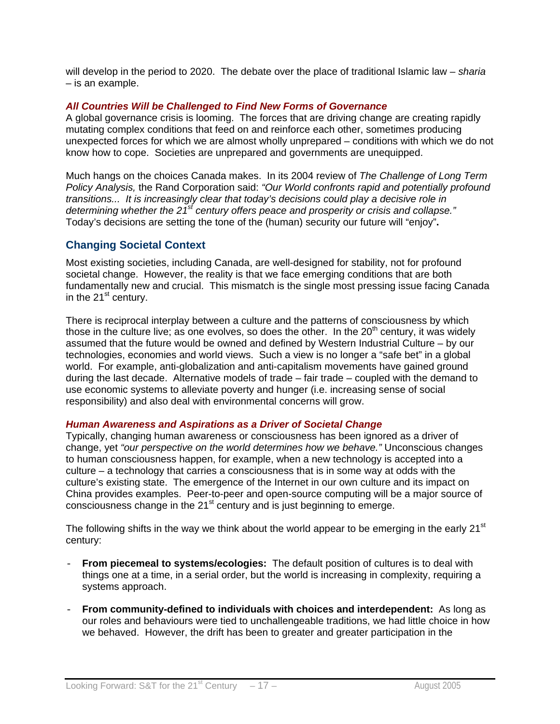will develop in the period to 2020. The debate over the place of traditional Islamic law – *sharia* – is an example.

#### *All Countries Will be Challenged to Find New Forms of Governance*

A global governance crisis is looming. The forces that are driving change are creating rapidly mutating complex conditions that feed on and reinforce each other, sometimes producing unexpected forces for which we are almost wholly unprepared – conditions with which we do not know how to cope. Societies are unprepared and governments are unequipped.

Much hangs on the choices Canada makes. In its 2004 review of *The Challenge of Long Term Policy Analysis,* the Rand Corporation said: *"Our World confronts rapid and potentially profound transitions... It is increasingly clear that today's decisions could play a decisive role in determining whether the 21st century offers peace and prosperity or crisis and collapse."*  Today's decisions are setting the tone of the (human) security our future will "enjoy"**.** 

## **Changing Societal Context**

Most existing societies, including Canada, are well-designed for stability, not for profound societal change. However, the reality is that we face emerging conditions that are both fundamentally new and crucial. This mismatch is the single most pressing issue facing Canada in the  $21<sup>st</sup>$  century.

There is reciprocal interplay between a culture and the patterns of consciousness by which those in the culture live; as one evolves, so does the other. In the  $20<sup>th</sup>$  century, it was widely assumed that the future would be owned and defined by Western Industrial Culture – by our technologies, economies and world views. Such a view is no longer a "safe bet" in a global world. For example, anti-globalization and anti-capitalism movements have gained ground during the last decade. Alternative models of trade – fair trade – coupled with the demand to use economic systems to alleviate poverty and hunger (i.e. increasing sense of social responsibility) and also deal with environmental concerns will grow.

#### *Human Awareness and Aspirations as a Driver of Societal Change*

Typically, changing human awareness or consciousness has been ignored as a driver of change, yet *"our perspective on the world determines how we behave."* Unconscious changes to human consciousness happen, for example, when a new technology is accepted into a culture – a technology that carries a consciousness that is in some way at odds with the culture's existing state. The emergence of the Internet in our own culture and its impact on China provides examples. Peer-to-peer and open-source computing will be a major source of consciousness change in the 21<sup>st</sup> century and is just beginning to emerge.

The following shifts in the way we think about the world appear to be emerging in the early 21 $\mathrm{^{st}}$ century:

- **From piecemeal to systems/ecologies:** The default position of cultures is to deal with things one at a time, in a serial order, but the world is increasing in complexity, requiring a systems approach.
- **From community-defined to individuals with choices and interdependent:** As long as our roles and behaviours were tied to unchallengeable traditions, we had little choice in how we behaved. However, the drift has been to greater and greater participation in the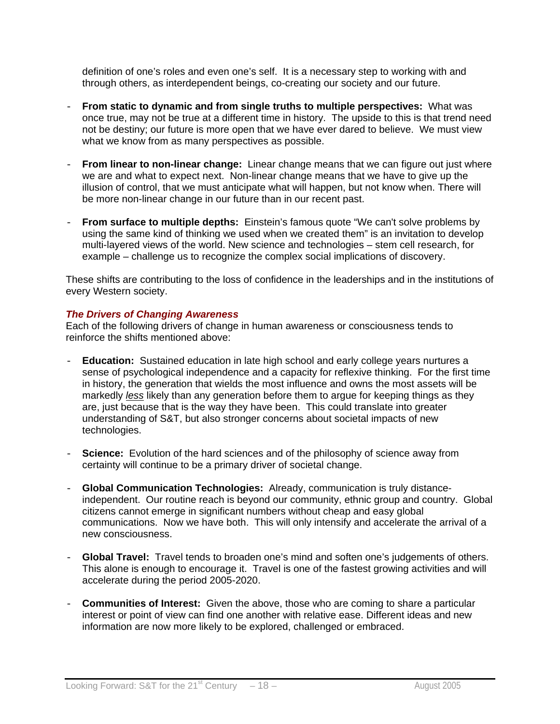definition of one's roles and even one's self. It is a necessary step to working with and through others, as interdependent beings, co-creating our society and our future.

- **From static to dynamic and from single truths to multiple perspectives:** What was once true, may not be true at a different time in history. The upside to this is that trend need not be destiny; our future is more open that we have ever dared to believe. We must view what we know from as many perspectives as possible.
- **From linear to non-linear change:** Linear change means that we can figure out just where we are and what to expect next. Non-linear change means that we have to give up the illusion of control, that we must anticipate what will happen, but not know when. There will be more non-linear change in our future than in our recent past.
- **From surface to multiple depths:** Einstein's famous quote "We can't solve problems by using the same kind of thinking we used when we created them" is an invitation to develop multi-layered views of the world. New science and technologies – stem cell research, for example – challenge us to recognize the complex social implications of discovery.

These shifts are contributing to the loss of confidence in the leaderships and in the institutions of every Western society.

#### *The Drivers of Changing Awareness*

Each of the following drivers of change in human awareness or consciousness tends to reinforce the shifts mentioned above:

- **Education:** Sustained education in late high school and early college years nurtures a sense of psychological independence and a capacity for reflexive thinking. For the first time in history, the generation that wields the most influence and owns the most assets will be markedly *less* likely than any generation before them to argue for keeping things as they are, just because that is the way they have been. This could translate into greater understanding of S&T, but also stronger concerns about societal impacts of new technologies.
- **Science:** Evolution of the hard sciences and of the philosophy of science away from certainty will continue to be a primary driver of societal change.
- **Global Communication Technologies:** Already, communication is truly distanceindependent. Our routine reach is beyond our community, ethnic group and country. Global citizens cannot emerge in significant numbers without cheap and easy global communications. Now we have both. This will only intensify and accelerate the arrival of a new consciousness.
- **Global Travel:** Travel tends to broaden one's mind and soften one's judgements of others. This alone is enough to encourage it. Travel is one of the fastest growing activities and will accelerate during the period 2005-2020.
- **Communities of Interest:** Given the above, those who are coming to share a particular interest or point of view can find one another with relative ease. Different ideas and new information are now more likely to be explored, challenged or embraced.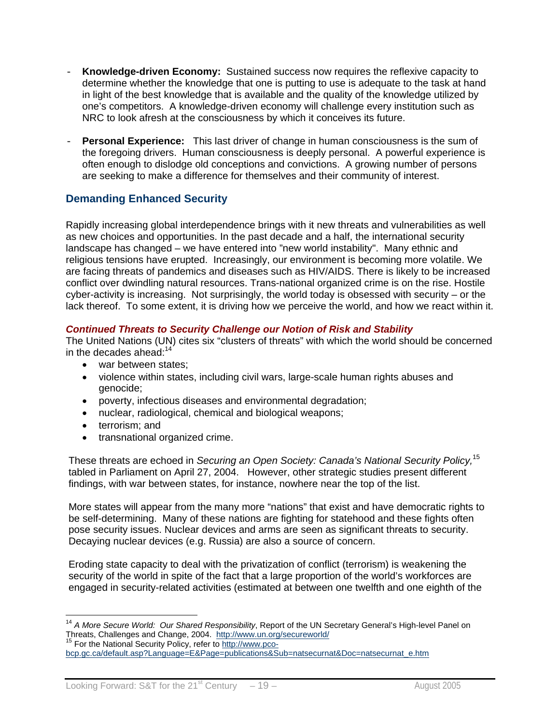- **Knowledge-driven Economy:** Sustained success now requires the reflexive capacity to determine whether the knowledge that one is putting to use is adequate to the task at hand in light of the best knowledge that is available and the quality of the knowledge utilized by one's competitors. A knowledge-driven economy will challenge every institution such as NRC to look afresh at the consciousness by which it conceives its future.
- **Personal Experience:** This last driver of change in human consciousness is the sum of the foregoing drivers. Human consciousness is deeply personal. A powerful experience is often enough to dislodge old conceptions and convictions. A growing number of persons are seeking to make a difference for themselves and their community of interest.

## **Demanding Enhanced Security**

Rapidly increasing global interdependence brings with it new threats and vulnerabilities as well as new choices and opportunities. In the past decade and a half, the international security landscape has changed – we have entered into "new world instability". Many ethnic and religious tensions have erupted. Increasingly, our environment is becoming more volatile. We are facing threats of pandemics and diseases such as HIV/AIDS. There is likely to be increased conflict over dwindling natural resources. Trans-national organized crime is on the rise. Hostile cyber-activity is increasing. Not surprisingly, the world today is obsessed with security – or the lack thereof. To some extent, it is driving how we perceive the world, and how we react within it.

#### *Continued Threats to Security Challenge our Notion of Risk and Stability*

The United Nations (UN) cites six "clusters of threats" with which the world should be concerned in the decades ahead: $14$ 

- war between states;
- violence within states, including civil wars, large-scale human rights abuses and genocide;
- poverty, infectious diseases and environmental degradation;
- nuclear, radiological, chemical and biological weapons;
- terrorism; and
- transnational organized crime.

These threats are echoed in *Securing an Open Society: Canada's National Security Policy,*<sup>15</sup> tabled in Parliament on April 27, 2004. However, other strategic studies present different findings, with war between states, for instance, nowhere near the top of the list.

More states will appear from the many more "nations" that exist and have democratic rights to be self-determining. Many of these nations are fighting for statehood and these fights often pose security issues. Nuclear devices and arms are seen as significant threats to security. Decaying nuclear devices (e.g. Russia) are also a source of concern.

Eroding state capacity to deal with the privatization of conflict (terrorism) is weakening the security of the world in spite of the fact that a large proportion of the world's workforces are engaged in security-related activities (estimated at between one twelfth and one eighth of the

 $\overline{a}$ <sup>14</sup> *A More Secure World: Our Shared Responsibility*, Report of the UN Secretary General's High-level Panel on Threats, Challenges and Change, 2004. http://www.un.org/secureworld/<br><sup>15</sup> For the National Security Policy, refer to http://www.pco-

bcp.gc.ca/default.asp?Language=E&Page=publications&Sub=natsecurnat&Doc=natsecurnat\_e.htm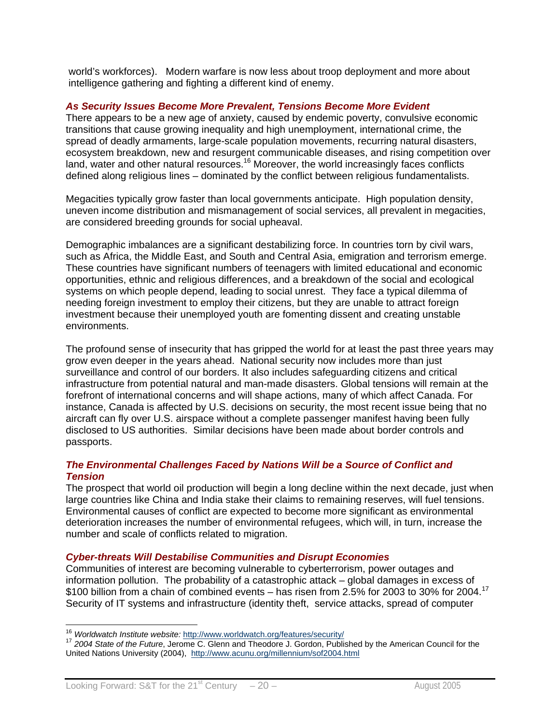world's workforces). Modern warfare is now less about troop deployment and more about intelligence gathering and fighting a different kind of enemy.

#### *As Security Issues Become More Prevalent, Tensions Become More Evident*

There appears to be a new age of anxiety, caused by endemic poverty, convulsive economic transitions that cause growing inequality and high unemployment, international crime, the spread of deadly armaments, large-scale population movements, recurring natural disasters, ecosystem breakdown, new and resurgent communicable diseases, and rising competition over land, water and other natural resources.<sup>16</sup> Moreover, the world increasingly faces conflicts defined along religious lines – dominated by the conflict between religious fundamentalists.

Megacities typically grow faster than local governments anticipate. High population density, uneven income distribution and mismanagement of social services, all prevalent in megacities, are considered breeding grounds for social upheaval.

Demographic imbalances are a significant destabilizing force. In countries torn by civil wars, such as Africa, the Middle East, and South and Central Asia, emigration and terrorism emerge. These countries have significant numbers of teenagers with limited educational and economic opportunities, ethnic and religious differences, and a breakdown of the social and ecological systems on which people depend, leading to social unrest. They face a typical dilemma of needing foreign investment to employ their citizens, but they are unable to attract foreign investment because their unemployed youth are fomenting dissent and creating unstable environments.

The profound sense of insecurity that has gripped the world for at least the past three years may grow even deeper in the years ahead. National security now includes more than just surveillance and control of our borders. It also includes safeguarding citizens and critical infrastructure from potential natural and man-made disasters. Global tensions will remain at the forefront of international concerns and will shape actions, many of which affect Canada. For instance, Canada is affected by U.S. decisions on security, the most recent issue being that no aircraft can fly over U.S. airspace without a complete passenger manifest having been fully disclosed to US authorities. Similar decisions have been made about border controls and passports.

#### *The Environmental Challenges Faced by Nations Will be a Source of Conflict and Tension*

The prospect that world oil production will begin a long decline within the next decade, just when large countries like China and India stake their claims to remaining reserves, will fuel tensions. Environmental causes of conflict are expected to become more significant as environmental deterioration increases the number of environmental refugees, which will, in turn, increase the number and scale of conflicts related to migration.

#### *Cyber-threats Will Destabilise Communities and Disrupt Economies*

Communities of interest are becoming vulnerable to cyberterrorism, power outages and information pollution. The probability of a catastrophic attack – global damages in excess of \$100 billion from a chain of combined events – has risen from 2.5% for 2003 to 30% for 2004.17 Security of IT systems and infrastructure (identity theft, service attacks, spread of computer

<sup>&</sup>lt;sup>16</sup> Worldwatch Institute website: http://www.worldwatch.org/features/security/

<sup>&</sup>lt;sup>17</sup> 2004 State of the Future, Jerome C. Glenn and Theodore J. Gordon, Published by the American Council for the United Nations University (2004), http://www.acunu.org/millennium/sof2004.html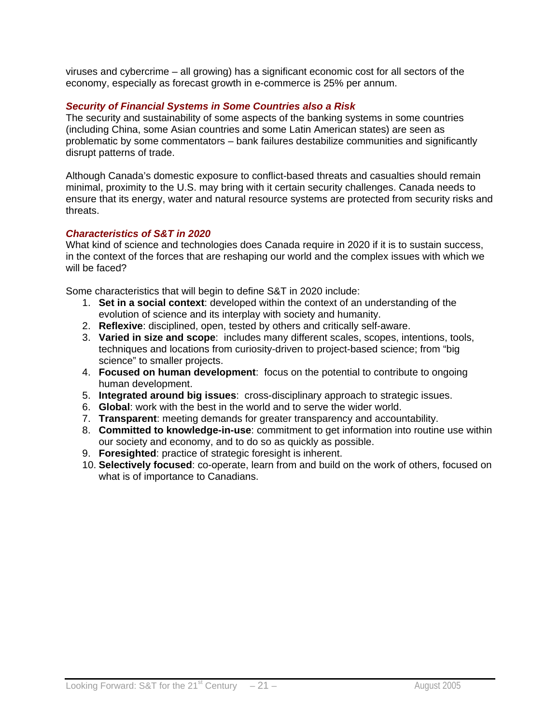viruses and cybercrime – all growing) has a significant economic cost for all sectors of the economy, especially as forecast growth in e-commerce is 25% per annum.

#### *Security of Financial Systems in Some Countries also a Risk*

The security and sustainability of some aspects of the banking systems in some countries (including China, some Asian countries and some Latin American states) are seen as problematic by some commentators – bank failures destabilize communities and significantly disrupt patterns of trade.

Although Canada's domestic exposure to conflict-based threats and casualties should remain minimal, proximity to the U.S. may bring with it certain security challenges. Canada needs to ensure that its energy, water and natural resource systems are protected from security risks and threats.

#### *Characteristics of S&T in 2020*

What kind of science and technologies does Canada require in 2020 if it is to sustain success, in the context of the forces that are reshaping our world and the complex issues with which we will be faced?

Some characteristics that will begin to define S&T in 2020 include:

- 1. **Set in a social context**: developed within the context of an understanding of the evolution of science and its interplay with society and humanity.
- 2. **Reflexive**: disciplined, open, tested by others and critically self-aware.
- 3. **Varied in size and scope**: includes many different scales, scopes, intentions, tools, techniques and locations from curiosity-driven to project-based science; from "big science" to smaller projects.
- 4. **Focused on human development**:focus on the potential to contribute to ongoing human development.
- 5. **Integrated around big issues**: cross-disciplinary approach to strategic issues.
- 6. **Global**: work with the best in the world and to serve the wider world.
- 7. **Transparent**: meeting demands for greater transparency and accountability.
- 8. **Committed to knowledge-in-use**: commitment to get information into routine use within our society and economy, and to do so as quickly as possible.
- 9. **Foresighted**: practice of strategic foresight is inherent.
- 10. **Selectively focused**: co-operate, learn from and build on the work of others, focused on what is of importance to Canadians.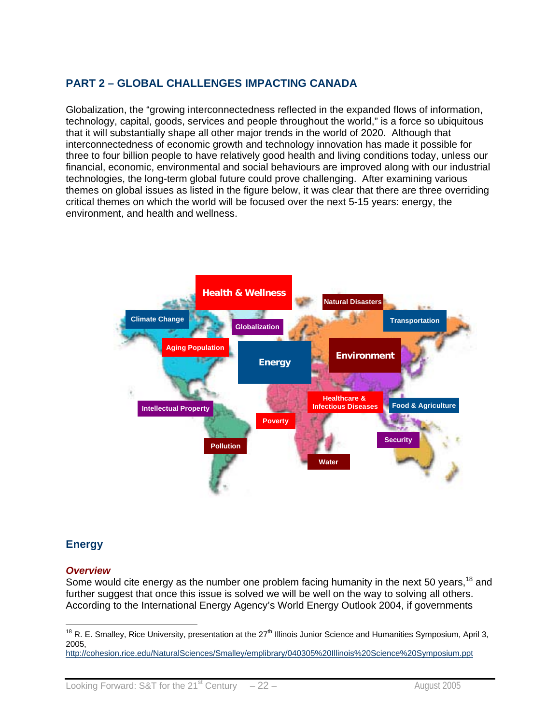## **PART 2 – GLOBAL CHALLENGES IMPACTING CANADA**

Globalization, the "growing interconnectedness reflected in the expanded flows of information, technology, capital, goods, services and people throughout the world," is a force so ubiquitous that it will substantially shape all other major trends in the world of 2020. Although that interconnectedness of economic growth and technology innovation has made it possible for three to four billion people to have relatively good health and living conditions today, unless our financial, economic, environmental and social behaviours are improved along with our industrial technologies, the long-term global future could prove challenging. After examining various themes on global issues as listed in the figure below, it was clear that there are three overriding critical themes on which the world will be focused over the next 5-15 years: energy, the environment, and health and wellness.



## **Energy**

 $\overline{a}$ 

#### *Overview*

Some would cite energy as the number one problem facing humanity in the next 50 years,<sup>18</sup> and further suggest that once this issue is solved we will be well on the way to solving all others. According to the International Energy Agency's World Energy Outlook 2004, if governments

http://cohesion.rice.edu/NaturalSciences/Smalley/emplibrary/040305%20Illinois%20Science%20Symposium.ppt

<sup>&</sup>lt;sup>18</sup> R. E. Smalley, Rice University, presentation at the 27<sup>th</sup> Illinois Junior Science and Humanities Symposium, April 3, 2005,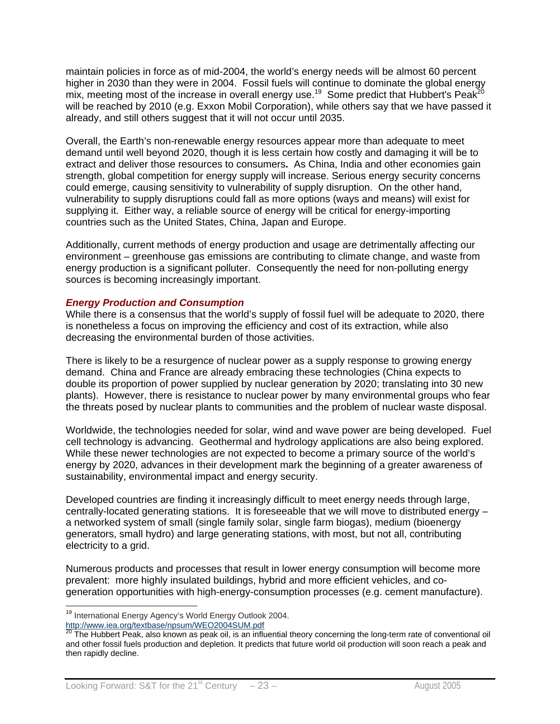maintain policies in force as of mid-2004, the world's energy needs will be almost 60 percent higher in 2030 than they were in 2004. Fossil fuels will continue to dominate the global energy mix, meeting most of the increase in overall energy use.<sup>19</sup> Some predict that Hubbert's Peak<sup>20</sup> will be reached by 2010 (e.g. Exxon Mobil Corporation), while others say that we have passed it already, and still others suggest that it will not occur until 2035.

Overall, the Earth's non-renewable energy resources appear more than adequate to meet demand until well beyond 2020, though it is less certain how costly and damaging it will be to extract and deliver those resources to consumers**.** As China, India and other economies gain strength, global competition for energy supply will increase. Serious energy security concerns could emerge, causing sensitivity to vulnerability of supply disruption. On the other hand, vulnerability to supply disruptions could fall as more options (ways and means) will exist for supplying it. Either way, a reliable source of energy will be critical for energy-importing countries such as the United States, China, Japan and Europe.

Additionally, current methods of energy production and usage are detrimentally affecting our environment – greenhouse gas emissions are contributing to climate change, and waste from energy production is a significant polluter. Consequently the need for non-polluting energy sources is becoming increasingly important.

#### *Energy Production and Consumption*

While there is a consensus that the world's supply of fossil fuel will be adequate to 2020, there is nonetheless a focus on improving the efficiency and cost of its extraction, while also decreasing the environmental burden of those activities.

There is likely to be a resurgence of nuclear power as a supply response to growing energy demand. China and France are already embracing these technologies (China expects to double its proportion of power supplied by nuclear generation by 2020; translating into 30 new plants). However, there is resistance to nuclear power by many environmental groups who fear the threats posed by nuclear plants to communities and the problem of nuclear waste disposal.

Worldwide, the technologies needed for solar, wind and wave power are being developed. Fuel cell technology is advancing. Geothermal and hydrology applications are also being explored. While these newer technologies are not expected to become a primary source of the world's energy by 2020, advances in their development mark the beginning of a greater awareness of sustainability, environmental impact and energy security.

Developed countries are finding it increasingly difficult to meet energy needs through large, centrally-located generating stations. It is foreseeable that we will move to distributed energy – a networked system of small (single family solar, single farm biogas), medium (bioenergy generators, small hydro) and large generating stations, with most, but not all, contributing electricity to a grid.

Numerous products and processes that result in lower energy consumption will become more prevalent: more highly insulated buildings, hybrid and more efficient vehicles, and cogeneration opportunities with high-energy-consumption processes (e.g. cement manufacture).

 $\overline{a}$ 

<sup>&</sup>lt;sup>19</sup> International Energy Agency's World Energy Outlook 2004.

http://www.iea.org/textbase/npsum/WEO2004SUM.pdf<br><sup>20</sup> The Hubbert Peak, also known as peak oil, is an influential theory concerning the long-term rate of conventional oil and other fossil fuels production and depletion. It predicts that future world oil production will soon reach a peak and then rapidly decline.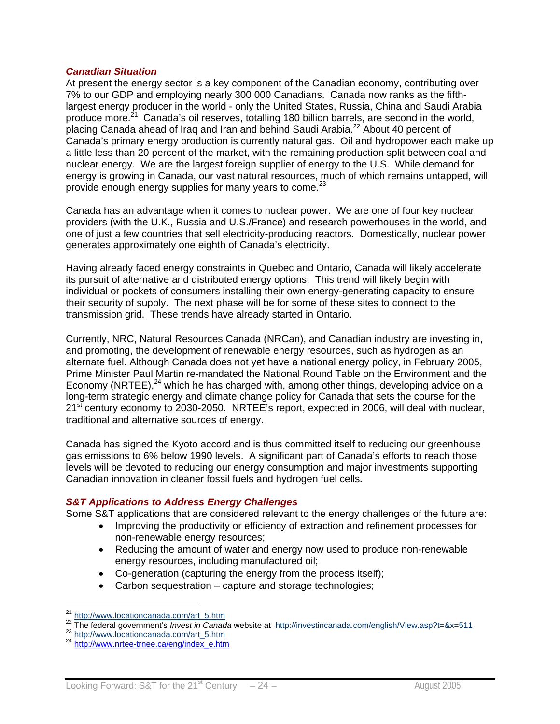#### *Canadian Situation*

At present the energy sector is a key component of the Canadian economy, contributing over 7% to our GDP and employing nearly 300 000 Canadians. Canada now ranks as the fifthlargest energy producer in the world - only the United States, Russia, China and Saudi Arabia produce more.<sup>21</sup> Canada's oil reserves, totalling 180 billion barrels, are second in the world, placing Canada ahead of Iraq and Iran and behind Saudi Arabia.<sup>22</sup> About 40 percent of Canada's primary energy production is currently natural gas. Oil and hydropower each make up a little less than 20 percent of the market, with the remaining production split between coal and nuclear energy. We are the largest foreign supplier of energy to the U.S. While demand for energy is growing in Canada, our vast natural resources, much of which remains untapped, will provide enough energy supplies for many years to come.<sup>23</sup>

Canada has an advantage when it comes to nuclear power. We are one of four key nuclear providers (with the U.K., Russia and U.S./France) and research powerhouses in the world, and one of just a few countries that sell electricity-producing reactors. Domestically, nuclear power generates approximately one eighth of Canada's electricity.

Having already faced energy constraints in Quebec and Ontario, Canada will likely accelerate its pursuit of alternative and distributed energy options. This trend will likely begin with individual or pockets of consumers installing their own energy-generating capacity to ensure their security of supply. The next phase will be for some of these sites to connect to the transmission grid. These trends have already started in Ontario.

Currently, NRC, Natural Resources Canada (NRCan), and Canadian industry are investing in, and promoting, the development of renewable energy resources, such as hydrogen as an alternate fuel. Although Canada does not yet have a national energy policy, in February 2005, Prime Minister Paul Martin re-mandated the National Round Table on the Environment and the Economy (NRTEE),<sup>24</sup> which he has charged with, among other things, developing advice on a long-term strategic energy and climate change policy for Canada that sets the course for the 21<sup>st</sup> century economy to 2030-2050. NRTEE's report, expected in 2006, will deal with nuclear, traditional and alternative sources of energy.

Canada has signed the Kyoto accord and is thus committed itself to reducing our greenhouse gas emissions to 6% below 1990 levels. A significant part of Canada's efforts to reach those levels will be devoted to reducing our energy consumption and major investments supporting Canadian innovation in cleaner fossil fuels and hydrogen fuel cells**.** 

#### *S&T Applications to Address Energy Challenges*

Some S&T applications that are considered relevant to the energy challenges of the future are:

- Improving the productivity or efficiency of extraction and refinement processes for non-renewable energy resources;
- Reducing the amount of water and energy now used to produce non-renewable energy resources, including manufactured oil;
- Co-generation (capturing the energy from the process itself);
- Carbon sequestration capture and storage technologies;

 $\overline{a}$ 

<sup>&</sup>lt;sup>21</sup> http://www.locationcanada.com/art\_5.htm<br><sup>22</sup> The federal government's *Invest in Canada* website at http://investincanada.com/english/View.asp?t=&x=511<br><sup>23</sup> http://www.locationcanada.com/art\_5.htm<br><sup>24</sup> http://www.<u>nrt</u>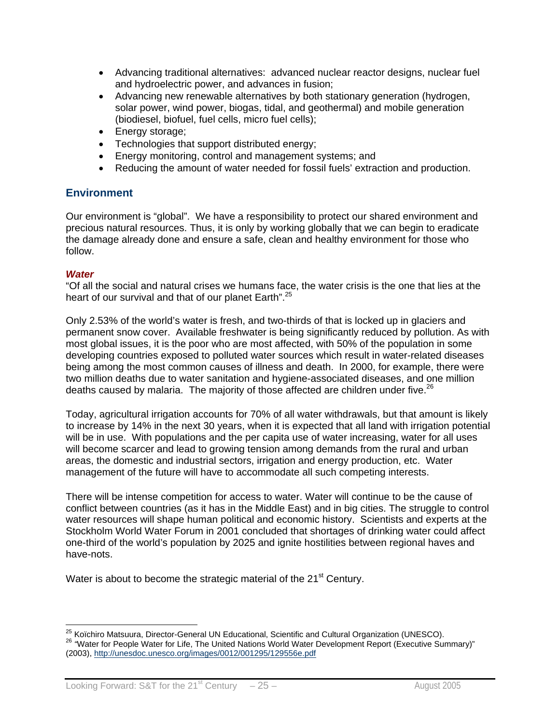- Advancing traditional alternatives: advanced nuclear reactor designs, nuclear fuel and hydroelectric power, and advances in fusion;
- Advancing new renewable alternatives by both stationary generation (hydrogen, solar power, wind power, biogas, tidal, and geothermal) and mobile generation (biodiesel, biofuel, fuel cells, micro fuel cells);
- Energy storage;
- Technologies that support distributed energy;
- Energy monitoring, control and management systems; and
- Reducing the amount of water needed for fossil fuels' extraction and production.

#### **Environment**

Our environment is "global". We have a responsibility to protect our shared environment and precious natural resources. Thus, it is only by working globally that we can begin to eradicate the damage already done and ensure a safe, clean and healthy environment for those who follow.

#### *Water*

"Of all the social and natural crises we humans face, the water crisis is the one that lies at the heart of our survival and that of our planet Earth".<sup>25</sup>

Only 2.53% of the world's water is fresh, and two-thirds of that is locked up in glaciers and permanent snow cover. Available freshwater is being significantly reduced by pollution. As with most global issues, it is the poor who are most affected, with 50% of the population in some developing countries exposed to polluted water sources which result in water-related diseases being among the most common causes of illness and death. In 2000, for example, there were two million deaths due to water sanitation and hygiene-associated diseases, and one million deaths caused by malaria. The majority of those affected are children under five. $^{26}$ 

Today, agricultural irrigation accounts for 70% of all water withdrawals, but that amount is likely to increase by 14% in the next 30 years, when it is expected that all land with irrigation potential will be in use. With populations and the per capita use of water increasing, water for all uses will become scarcer and lead to growing tension among demands from the rural and urban areas, the domestic and industrial sectors, irrigation and energy production, etc. Water management of the future will have to accommodate all such competing interests.

There will be intense competition for access to water. Water will continue to be the cause of conflict between countries (as it has in the Middle East) and in big cities. The struggle to control water resources will shape human political and economic history. Scientists and experts at the Stockholm World Water Forum in 2001 concluded that shortages of drinking water could affect one-third of the world's population by 2025 and ignite hostilities between regional haves and have-nots.

Water is about to become the strategic material of the 21<sup>st</sup> Century.

<sup>&</sup>lt;sup>25</sup> Koïchiro Matsuura, Director-General UN Educational, Scientific and Cultural Organization (UNESCO). <sup>26</sup> "Water for People Water for Life, The United Nations World Water Development Report (Executive Summary)" (2003), http://unesdoc.unesco.org/images/0012/001295/129556e.pdf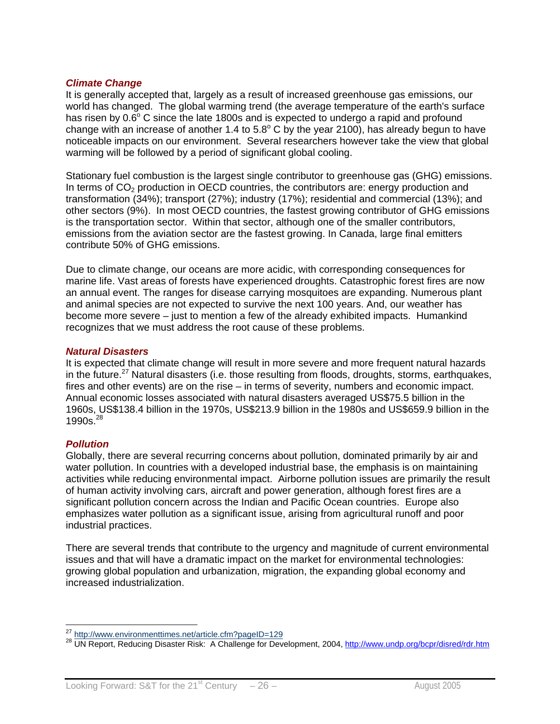#### *Climate Change*

It is generally accepted that, largely as a result of increased greenhouse gas emissions, our world has changed. The global warming trend (the average temperature of the earth's surface has risen by  $0.6^{\circ}$  C since the late 1800s and is expected to undergo a rapid and profound change with an increase of another 1.4 to 5.8 $^{\circ}$  C by the year 2100), has already begun to have noticeable impacts on our environment. Several researchers however take the view that global warming will be followed by a period of significant global cooling.

Stationary fuel combustion is the largest single contributor to greenhouse gas (GHG) emissions. In terms of  $CO<sub>2</sub>$  production in OECD countries, the contributors are: energy production and transformation (34%); transport (27%); industry (17%); residential and commercial (13%); and other sectors (9%). In most OECD countries, the fastest growing contributor of GHG emissions is the transportation sector. Within that sector, although one of the smaller contributors, emissions from the aviation sector are the fastest growing. In Canada, large final emitters contribute 50% of GHG emissions.

Due to climate change, our oceans are more acidic, with corresponding consequences for marine life. Vast areas of forests have experienced droughts. Catastrophic forest fires are now an annual event. The ranges for disease carrying mosquitoes are expanding. Numerous plant and animal species are not expected to survive the next 100 years. And, our weather has become more severe – just to mention a few of the already exhibited impacts. Humankind recognizes that we must address the root cause of these problems.

#### *Natural Disasters*

It is expected that climate change will result in more severe and more frequent natural hazards in the future.<sup>27</sup> Natural disasters (i.e. those resulting from floods, droughts, storms, earthquakes, fires and other events) are on the rise – in terms of severity, numbers and economic impact. Annual economic losses associated with natural disasters averaged US\$75.5 billion in the 1960s, US\$138.4 billion in the 1970s, US\$213.9 billion in the 1980s and US\$659.9 billion in the  $1990s^{28}$ 

#### *Pollution*

Globally, there are several recurring concerns about pollution, dominated primarily by air and water pollution. In countries with a developed industrial base, the emphasis is on maintaining activities while reducing environmental impact. Airborne pollution issues are primarily the result of human activity involving cars, aircraft and power generation, although forest fires are a significant pollution concern across the Indian and Pacific Ocean countries. Europe also emphasizes water pollution as a significant issue, arising from agricultural runoff and poor industrial practices.

There are several trends that contribute to the urgency and magnitude of current environmental issues and that will have a dramatic impact on the market for environmental technologies: growing global population and urbanization, migration, the expanding global economy and increased industrialization.

<sup>&</sup>lt;sup>27</sup> http://www.environmenttimes.net/article.cfm?pageID=129

<sup>28</sup> UN Report, Reducing Disaster Risk: A Challenge for Development, 2004, http://www.undp.org/bcpr/disred/rdr.htm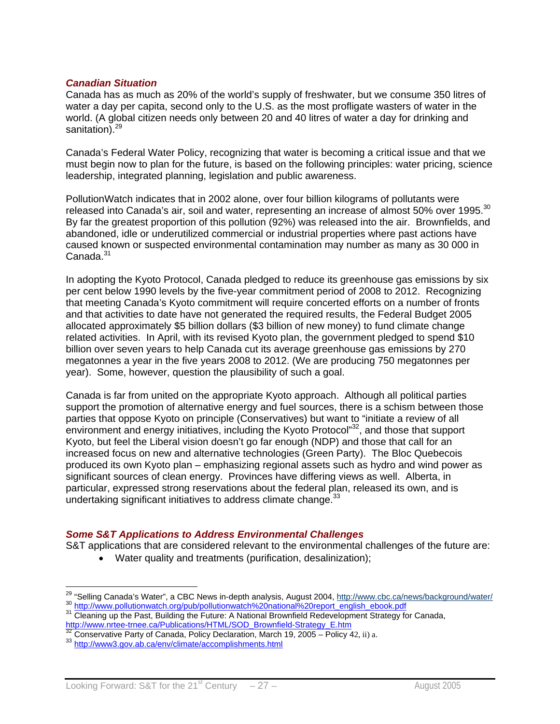#### *Canadian Situation*

Canada has as much as 20% of the world's supply of freshwater, but we consume 350 litres of water a day per capita, second only to the U.S. as the most profligate wasters of water in the world. (A global citizen needs only between 20 and 40 litres of water a day for drinking and sanitation).<sup>29</sup>

Canada's Federal Water Policy, recognizing that water is becoming a critical issue and that we must begin now to plan for the future, is based on the following principles: water pricing, science leadership, integrated planning, legislation and public awareness.

PollutionWatch indicates that in 2002 alone, over four billion kilograms of pollutants were released into Canada's air, soil and water, representing an increase of almost 50% over 1995.<sup>30</sup> By far the greatest proportion of this pollution (92%) was released into the air. Brownfields, and abandoned, idle or underutilized commercial or industrial properties where past actions have caused known or suspected environmental contamination may number as many as 30 000 in  $C$ anada. $31$ 

In adopting the Kyoto Protocol, Canada pledged to reduce its greenhouse gas emissions by six per cent below 1990 levels by the five-year commitment period of 2008 to 2012. Recognizing that meeting Canada's Kyoto commitment will require concerted efforts on a number of fronts and that activities to date have not generated the required results, the Federal Budget 2005 allocated approximately \$5 billion dollars (\$3 billion of new money) to fund climate change related activities. In April, with its revised Kyoto plan, the government pledged to spend \$10 billion over seven years to help Canada cut its average greenhouse gas emissions by 270 megatonnes a year in the five years 2008 to 2012. (We are producing 750 megatonnes per year). Some, however, question the plausibility of such a goal.

Canada is far from united on the appropriate Kyoto approach. Although all political parties support the promotion of alternative energy and fuel sources, there is a schism between those parties that oppose Kyoto on principle (Conservatives) but want to "initiate a review of all environment and energy initiatives, including the Kyoto Protocol"32, and those that support Kyoto, but feel the Liberal vision doesn't go far enough (NDP) and those that call for an increased focus on new and alternative technologies (Green Party). The Bloc Quebecois produced its own Kyoto plan – emphasizing regional assets such as hydro and wind power as significant sources of clean energy. Provinces have differing views as well. Alberta, in particular, expressed strong reservations about the federal plan, released its own, and is undertaking significant initiatives to address climate change. $33$ 

#### *Some S&T Applications to Address Environmental Challenges*

S&T applications that are considered relevant to the environmental challenges of the future are:

• Water quality and treatments (purification, desalinization);

<sup>&</sup>lt;sup>29</sup> "Sellina Canada's Water". a CBC News in-depth analysis, August 2004, http://www.cbc.ca/news/background/water/ 30 http://www.pollutionwatch.org/pub/pollutionwatch%20national%20report\_english\_ebook.pdf<br>31 Cleaning up the Past, Building the Future: A National Brownfield Redevelopment Strategy for Canada,

http://www.nrtee-trnee.ca/Publications/HTML/SOD\_Brownfield-Strategy\_E.htm 32 Conservative Party of Canada, Policy Declaration, March 19, 2005 – Policy 42, ii) a. 33 http://www3.gov.ab.ca/env/climate/accomplishments.html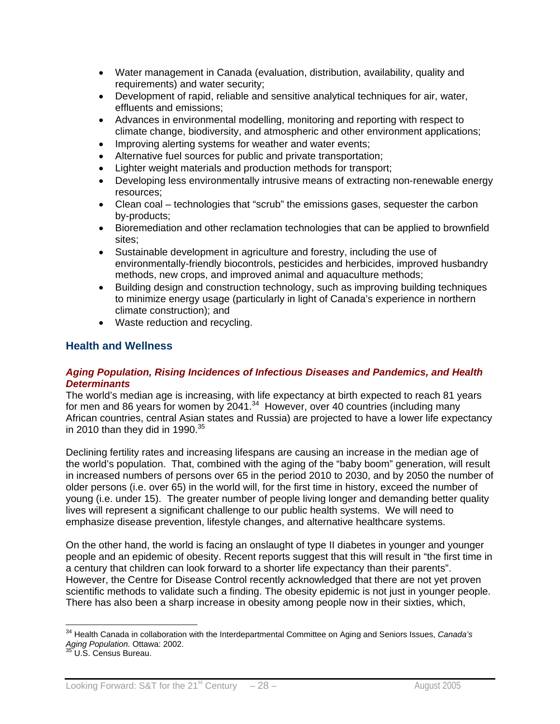- Water management in Canada (evaluation, distribution, availability, quality and requirements) and water security;
- Development of rapid, reliable and sensitive analytical techniques for air, water, effluents and emissions;
- Advances in environmental modelling, monitoring and reporting with respect to climate change, biodiversity, and atmospheric and other environment applications;
- Improving alerting systems for weather and water events;
- Alternative fuel sources for public and private transportation;
- Lighter weight materials and production methods for transport;
- Developing less environmentally intrusive means of extracting non-renewable energy resources;
- Clean coal technologies that "scrub" the emissions gases, sequester the carbon by-products;
- Bioremediation and other reclamation technologies that can be applied to brownfield sites;
- Sustainable development in agriculture and forestry, including the use of environmentally-friendly biocontrols, pesticides and herbicides, improved husbandry methods, new crops, and improved animal and aquaculture methods;
- Building design and construction technology, such as improving building techniques to minimize energy usage (particularly in light of Canada's experience in northern climate construction); and
- Waste reduction and recycling.

#### **Health and Wellness**

#### *Aging Population, Rising Incidences of Infectious Diseases and Pandemics, and Health Determinants*

The world's median age is increasing, with life expectancy at birth expected to reach 81 years for men and 86 years for women by  $2041<sup>34</sup>$  However, over 40 countries (including many African countries, central Asian states and Russia) are projected to have a lower life expectancy in 2010 than they did in 1990. $35$ 

Declining fertility rates and increasing lifespans are causing an increase in the median age of the world's population. That, combined with the aging of the "baby boom" generation, will result in increased numbers of persons over 65 in the period 2010 to 2030, and by 2050 the number of older persons (i.e. over 65) in the world will, for the first time in history, exceed the number of young (i.e. under 15). The greater number of people living longer and demanding better quality lives will represent a significant challenge to our public health systems. We will need to emphasize disease prevention, lifestyle changes, and alternative healthcare systems.

On the other hand, the world is facing an onslaught of type II diabetes in younger and younger people and an epidemic of obesity. Recent reports suggest that this will result in "the first time in a century that children can look forward to a shorter life expectancy than their parents". However, the Centre for Disease Control recently acknowledged that there are not yet proven scientific methods to validate such a finding. The obesity epidemic is not just in younger people. There has also been a sharp increase in obesity among people now in their sixties, which,

 $\overline{a}$ 

<sup>34</sup> Health Canada in collaboration with the Interdepartmental Committee on Aging and Seniors Issues, *Canada's Aging Population.* Ottawa: 2002. 35 U.S. Census Bureau.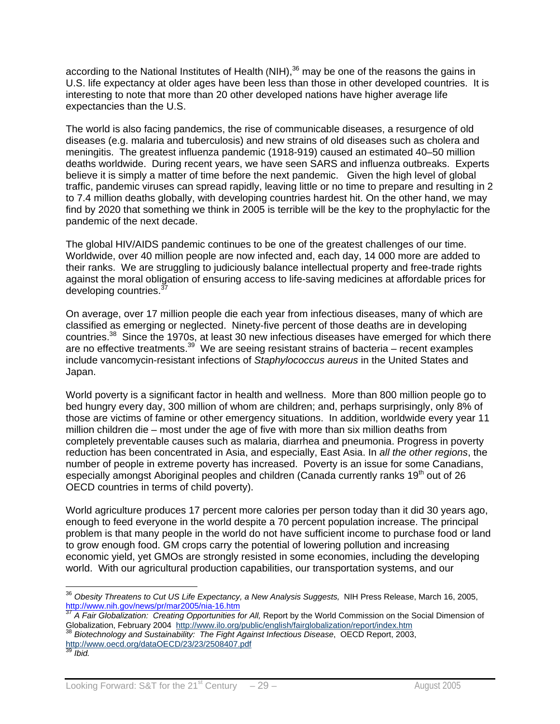according to the National Institutes of Health (NIH),<sup>36</sup> may be one of the reasons the gains in U.S. life expectancy at older ages have been less than those in other developed countries. It is interesting to note that more than 20 other developed nations have higher average life expectancies than the U.S.

The world is also facing pandemics, the rise of communicable diseases, a resurgence of old diseases (e.g. malaria and tuberculosis) and new strains of old diseases such as cholera and meningitis. The greatest influenza pandemic (1918-919) caused an estimated 40–50 million deaths worldwide. During recent years, we have seen SARS and influenza outbreaks. Experts believe it is simply a matter of time before the next pandemic. Given the high level of global traffic, pandemic viruses can spread rapidly, leaving little or no time to prepare and resulting in 2 to 7.4 million deaths globally, with developing countries hardest hit. On the other hand, we may find by 2020 that something we think in 2005 is terrible will be the key to the prophylactic for the pandemic of the next decade.

The global HIV/AIDS pandemic continues to be one of the greatest challenges of our time. Worldwide, over 40 million people are now infected and, each day, 14 000 more are added to their ranks. We are struggling to judiciously balance intellectual property and free-trade rights against the moral obligation of ensuring access to life-saving medicines at affordable prices for developing countries.<sup>37</sup>

On average, over 17 million people die each year from infectious diseases, many of which are classified as emerging or neglected. Ninety-five percent of those deaths are in developing countries.38 Since the 1970s, at least 30 new infectious diseases have emerged for which there are no effective treatments. $39^{9}$  We are seeing resistant strains of bacteria – recent examples include vancomycin-resistant infections of *Staphylococcus aureus* in the United States and Japan.

World poverty is a significant factor in health and wellness. More than 800 million people go to bed hungry every day, 300 million of whom are children; and, perhaps surprisingly, only 8% of those are victims of famine or other emergency situations. In addition, worldwide every year 11 million children die – most under the age of five with more than six million deaths from completely preventable causes such as malaria, diarrhea and pneumonia. Progress in poverty reduction has been concentrated in Asia, and especially, East Asia. In *all the other regions*, the number of people in extreme poverty has increased. Poverty is an issue for some Canadians, especially amongst Aboriginal peoples and children (Canada currently ranks 19<sup>th</sup> out of 26 OECD countries in terms of child poverty).

World agriculture produces 17 percent more calories per person today than it did 30 years ago, enough to feed everyone in the world despite a 70 percent population increase. The principal problem is that many people in the world do not have sufficient income to purchase food or land to grow enough food. GM crops carry the potential of lowering pollution and increasing economic yield, yet GMOs are strongly resisted in some economies, including the developing world. With our agricultural production capabilities, our transportation systems, and our

 $\overline{a}$ 

<sup>36</sup> *Obesity Threatens to Cut US Life Expectancy, a New Analysis Suggests,* NIH Press Release, March 16, 2005, http://www.nih.gov/news/pr/mar2005/nia-16.htm<br><sup>37</sup> A Fair Globalization: Creating Opportunities for All, Report by the World Commission on the Social Dimension of

Globalization, February 2004 http://www.ilo.org/public/english/fairglobalization/report/index.htm <sup>38</sup> *Biotechnology and Sustainability: The Fight Against Infectious Disease*, OECD Report, 2003,

http://www.oecd.org/dataOECD/23/23/2508407.pdf

*Ibid.*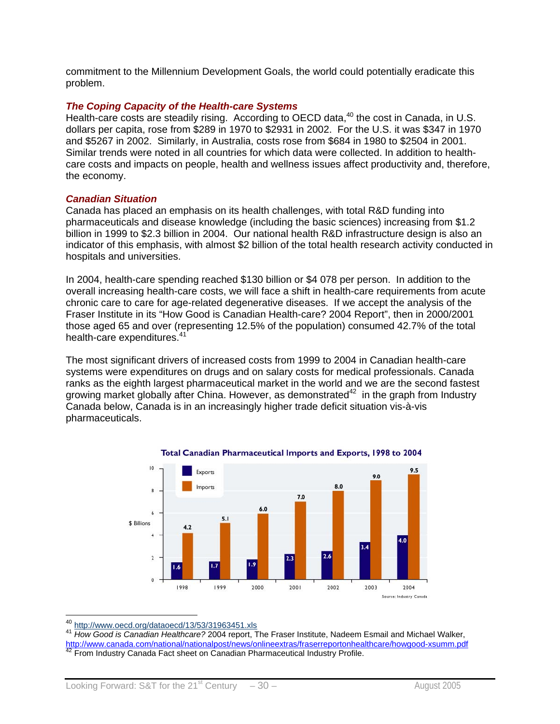commitment to the Millennium Development Goals, the world could potentially eradicate this problem.

#### *The Coping Capacity of the Health-care Systems*

Health-care costs are steadily rising. According to OECD data,<sup>40</sup> the cost in Canada, in U.S. dollars per capita, rose from \$289 in 1970 to \$2931 in 2002. For the U.S. it was \$347 in 1970 and \$5267 in 2002. Similarly, in Australia, costs rose from \$684 in 1980 to \$2504 in 2001. Similar trends were noted in all countries for which data were collected. In addition to healthcare costs and impacts on people, health and wellness issues affect productivity and, therefore, the economy.

#### *Canadian Situation*

Canada has placed an emphasis on its health challenges, with total R&D funding into pharmaceuticals and disease knowledge (including the basic sciences) increasing from \$1.2 billion in 1999 to \$2.3 billion in 2004. Our national health R&D infrastructure design is also an indicator of this emphasis, with almost \$2 billion of the total health research activity conducted in hospitals and universities.

In 2004, health-care spending reached \$130 billion or \$4 078 per person. In addition to the overall increasing health-care costs, we will face a shift in health-care requirements from acute chronic care to care for age-related degenerative diseases. If we accept the analysis of the Fraser Institute in its "How Good is Canadian Health-care? 2004 Report", then in 2000/2001 those aged 65 and over (representing 12.5% of the population) consumed 42.7% of the total health-care expenditures.<sup>41</sup>

The most significant drivers of increased costs from 1999 to 2004 in Canadian health-care systems were expenditures on drugs and on salary costs for medical professionals. Canada ranks as the eighth largest pharmaceutical market in the world and we are the second fastest growing market globally after China. However, as demonstrated<sup>42</sup> in the graph from Industry Canada below, Canada is in an increasingly higher trade deficit situation vis-à-vis pharmaceuticals.





<sup>40</sup> http://www.oecd.org/dataoecd/13/53/31963451.xls

<sup>41</sup> How Good is Canadian Healthcare? 2004 report, The Fraser Institute, Nadeem Esmail and Michael Walker, http://www.canada.com/national/nationalpost/news/onlineextras/fraserreportonhealthcare/howgood-xsumm.pdf 42 From Industry Canada Fact sheet on Canadian Pharmaceutical Industry Profile.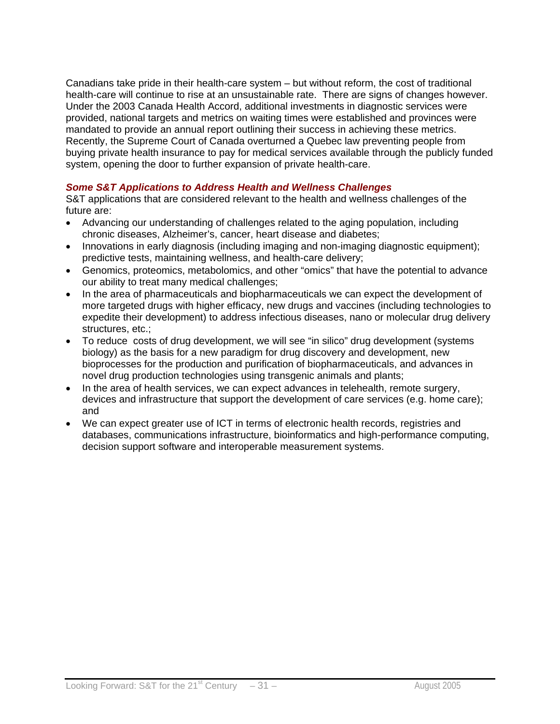Canadians take pride in their health-care system – but without reform, the cost of traditional health-care will continue to rise at an unsustainable rate. There are signs of changes however. Under the 2003 Canada Health Accord, additional investments in diagnostic services were provided, national targets and metrics on waiting times were established and provinces were mandated to provide an annual report outlining their success in achieving these metrics. Recently, the Supreme Court of Canada overturned a Quebec law preventing people from buying private health insurance to pay for medical services available through the publicly funded system, opening the door to further expansion of private health-care.

## *Some S&T Applications to Address Health and Wellness Challenges*

S&T applications that are considered relevant to the health and wellness challenges of the future are:

- Advancing our understanding of challenges related to the aging population, including chronic diseases, Alzheimer's, cancer, heart disease and diabetes;
- Innovations in early diagnosis (including imaging and non-imaging diagnostic equipment); predictive tests, maintaining wellness, and health-care delivery;
- Genomics, proteomics, metabolomics, and other "omics" that have the potential to advance our ability to treat many medical challenges;
- In the area of pharmaceuticals and biopharmaceuticals we can expect the development of more targeted drugs with higher efficacy, new drugs and vaccines (including technologies to expedite their development) to address infectious diseases, nano or molecular drug delivery structures, etc.;
- To reduce costs of drug development, we will see "in silico" drug development (systems biology) as the basis for a new paradigm for drug discovery and development, new bioprocesses for the production and purification of biopharmaceuticals, and advances in novel drug production technologies using transgenic animals and plants;
- In the area of health services, we can expect advances in telehealth, remote surgery, devices and infrastructure that support the development of care services (e.g. home care); and
- We can expect greater use of ICT in terms of electronic health records, registries and databases, communications infrastructure, bioinformatics and high-performance computing, decision support software and interoperable measurement systems.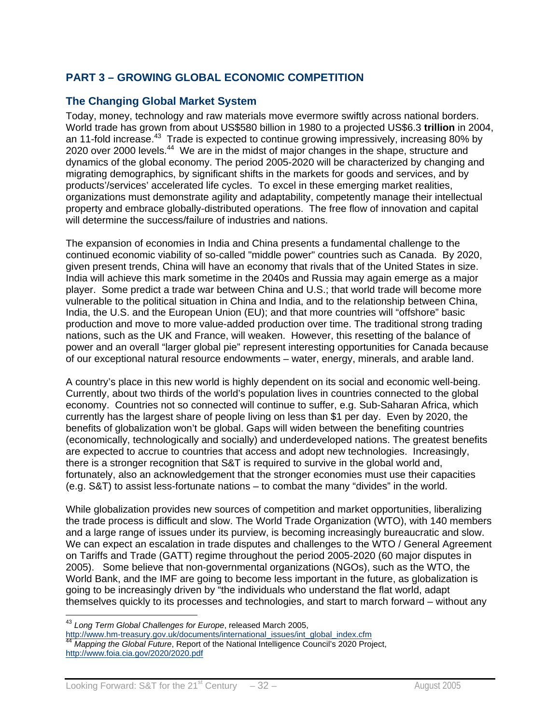## **PART 3 – GROWING GLOBAL ECONOMIC COMPETITION**

## **The Changing Global Market System**

Today, money, technology and raw materials move evermore swiftly across national borders. World trade has grown from about US\$580 billion in 1980 to a projected US\$6.3 **trillion** in 2004, an 11-fold increase.<sup>43</sup> Trade is expected to continue growing impressively, increasing 80% by 2020 over 2000 levels.<sup>44</sup> We are in the midst of major changes in the shape, structure and dynamics of the global economy. The period 2005-2020 will be characterized by changing and migrating demographics, by significant shifts in the markets for goods and services, and by products'/services' accelerated life cycles. To excel in these emerging market realities, organizations must demonstrate agility and adaptability, competently manage their intellectual property and embrace globally-distributed operations. The free flow of innovation and capital will determine the success/failure of industries and nations.

The expansion of economies in India and China presents a fundamental challenge to the continued economic viability of so-called "middle power" countries such as Canada. By 2020, given present trends, China will have an economy that rivals that of the United States in size. India will achieve this mark sometime in the 2040s and Russia may again emerge as a major player. Some predict a trade war between China and U.S.; that world trade will become more vulnerable to the political situation in China and India, and to the relationship between China, India, the U.S. and the European Union (EU); and that more countries will "offshore" basic production and move to more value-added production over time. The traditional strong trading nations, such as the UK and France, will weaken. However, this resetting of the balance of power and an overall "larger global pie" represent interesting opportunities for Canada because of our exceptional natural resource endowments – water, energy, minerals, and arable land.

A country's place in this new world is highly dependent on its social and economic well-being. Currently, about two thirds of the world's population lives in countries connected to the global economy. Countries not so connected will continue to suffer, e.g. Sub-Saharan Africa, which currently has the largest share of people living on less than \$1 per day. Even by 2020, the benefits of globalization won't be global. Gaps will widen between the benefiting countries (economically, technologically and socially) and underdeveloped nations. The greatest benefits are expected to accrue to countries that access and adopt new technologies. Increasingly, there is a stronger recognition that S&T is required to survive in the global world and, fortunately, also an acknowledgement that the stronger economies must use their capacities (e.g. S&T) to assist less-fortunate nations – to combat the many "divides" in the world.

While globalization provides new sources of competition and market opportunities, liberalizing the trade process is difficult and slow. The World Trade Organization (WTO), with 140 members and a large range of issues under its purview, is becoming increasingly bureaucratic and slow. We can expect an escalation in trade disputes and challenges to the WTO / General Agreement on Tariffs and Trade (GATT) regime throughout the period 2005-2020 (60 major disputes in 2005). Some believe that non-governmental organizations (NGOs), such as the WTO, the World Bank, and the IMF are going to become less important in the future, as globalization is going to be increasingly driven by "the individuals who understand the flat world, adapt themselves quickly to its processes and technologies, and start to march forward – without any

 $\overline{a}$ 

<sup>43</sup> *Long Term Global Challenges for Europe*, released March 2005,

http://www.hm-treasury.gov.uk/documents/international\_issues/int\_global\_index.cfm <sup>44</sup> *Mapping the Global Future*, Report of the National Intelligence Council's 2020 Project, http://www.foia.cia.gov/2020/2020.pdf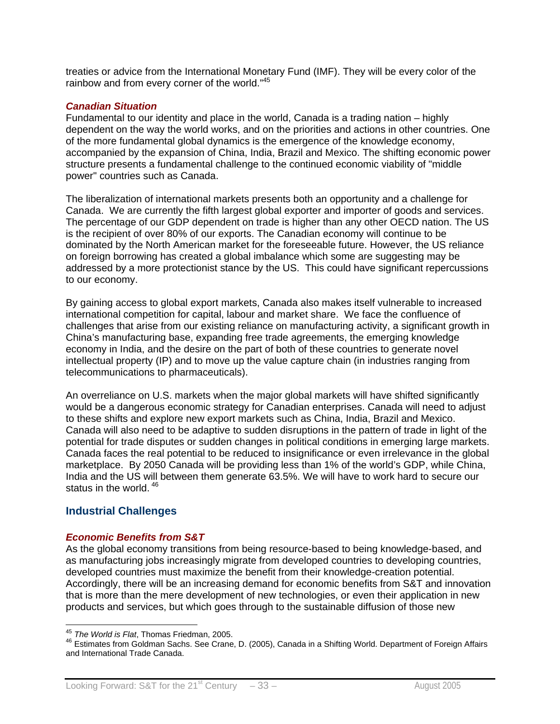treaties or advice from the International Monetary Fund (IMF). They will be every color of the rainbow and from every corner of the world."<sup>45</sup>

#### *Canadian Situation*

Fundamental to our identity and place in the world, Canada is a trading nation – highly dependent on the way the world works, and on the priorities and actions in other countries. One of the more fundamental global dynamics is the emergence of the knowledge economy, accompanied by the expansion of China, India, Brazil and Mexico. The shifting economic power structure presents a fundamental challenge to the continued economic viability of "middle power" countries such as Canada.

The liberalization of international markets presents both an opportunity and a challenge for Canada. We are currently the fifth largest global exporter and importer of goods and services. The percentage of our GDP dependent on trade is higher than any other OECD nation. The US is the recipient of over 80% of our exports. The Canadian economy will continue to be dominated by the North American market for the foreseeable future. However, the US reliance on foreign borrowing has created a global imbalance which some are suggesting may be addressed by a more protectionist stance by the US. This could have significant repercussions to our economy.

By gaining access to global export markets, Canada also makes itself vulnerable to increased international competition for capital, labour and market share. We face the confluence of challenges that arise from our existing reliance on manufacturing activity, a significant growth in China's manufacturing base, expanding free trade agreements, the emerging knowledge economy in India, and the desire on the part of both of these countries to generate novel intellectual property (IP) and to move up the value capture chain (in industries ranging from telecommunications to pharmaceuticals).

An overreliance on U.S. markets when the major global markets will have shifted significantly would be a dangerous economic strategy for Canadian enterprises. Canada will need to adjust to these shifts and explore new export markets such as China, India, Brazil and Mexico. Canada will also need to be adaptive to sudden disruptions in the pattern of trade in light of the potential for trade disputes or sudden changes in political conditions in emerging large markets. Canada faces the real potential to be reduced to insignificance or even irrelevance in the global marketplace. By 2050 Canada will be providing less than 1% of the world's GDP, while China, India and the US will between them generate 63.5%. We will have to work hard to secure our status in the world.  $46$ 

#### **Industrial Challenges**

#### *Economic Benefits from S&T*

As the global economy transitions from being resource-based to being knowledge-based, and as manufacturing jobs increasingly migrate from developed countries to developing countries, developed countries must maximize the benefit from their knowledge-creation potential. Accordingly, there will be an increasing demand for economic benefits from S&T and innovation that is more than the mere development of new technologies, or even their application in new products and services, but which goes through to the sustainable diffusion of those new

<sup>&</sup>lt;sup>45</sup> The World is Flat, Thomas Friedman, 2005.

<sup>&</sup>lt;sup>46</sup> Estimates from Goldman Sachs. See Crane, D. (2005), Canada in a Shifting World. Department of Foreign Affairs and International Trade Canada.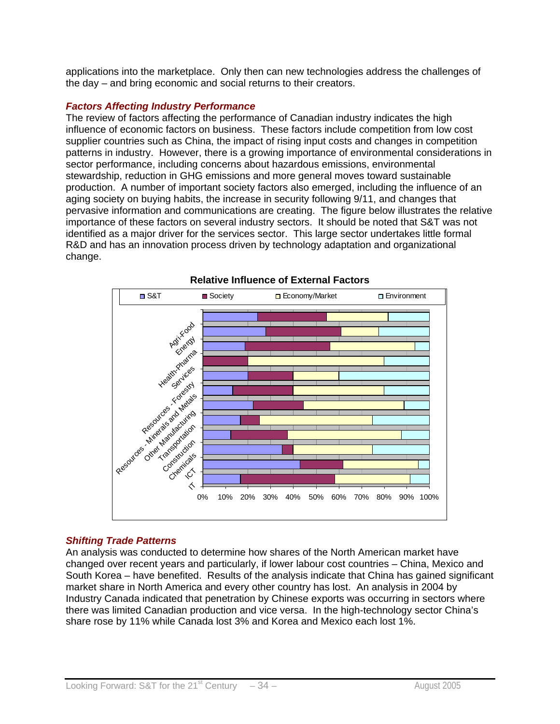applications into the marketplace. Only then can new technologies address the challenges of the day – and bring economic and social returns to their creators.

#### *Factors Affecting Industry Performance*

The review of factors affecting the performance of Canadian industry indicates the high influence of economic factors on business. These factors include competition from low cost supplier countries such as China, the impact of rising input costs and changes in competition patterns in industry. However, there is a growing importance of environmental considerations in sector performance, including concerns about hazardous emissions, environmental stewardship, reduction in GHG emissions and more general moves toward sustainable production. A number of important society factors also emerged, including the influence of an aging society on buying habits, the increase in security following 9/11, and changes that pervasive information and communications are creating. The figure below illustrates the relative importance of these factors on several industry sectors. It should be noted that S&T was not identified as a major driver for the services sector. This large sector undertakes little formal R&D and has an innovation process driven by technology adaptation and organizational change.



#### **Relative Influence of External Factors**

## *Shifting Trade Patterns*

An analysis was conducted to determine how shares of the North American market have changed over recent years and particularly, if lower labour cost countries – China, Mexico and South Korea – have benefited. Results of the analysis indicate that China has gained significant market share in North America and every other country has lost. An analysis in 2004 by Industry Canada indicated that penetration by Chinese exports was occurring in sectors where there was limited Canadian production and vice versa. In the high-technology sector China's share rose by 11% while Canada lost 3% and Korea and Mexico each lost 1%.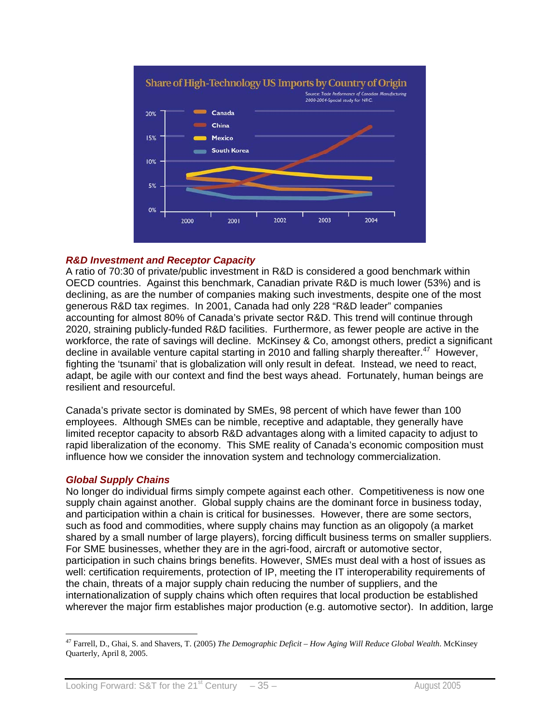

#### *R&D Investment and Receptor Capacity*

A ratio of 70:30 of private/public investment in R&D is considered a good benchmark within OECD countries. Against this benchmark, Canadian private R&D is much lower (53%) and is declining, as are the number of companies making such investments, despite one of the most generous R&D tax regimes. In 2001, Canada had only 228 "R&D leader" companies accounting for almost 80% of Canada's private sector R&D. This trend will continue through 2020, straining publicly-funded R&D facilities. Furthermore, as fewer people are active in the workforce, the rate of savings will decline. McKinsey & Co, amongst others, predict a significant decline in available venture capital starting in 2010 and falling sharply thereafter.<sup>47</sup> However, fighting the 'tsunami' that is globalization will only result in defeat. Instead, we need to react, adapt, be agile with our context and find the best ways ahead. Fortunately, human beings are resilient and resourceful.

Canada's private sector is dominated by SMEs, 98 percent of which have fewer than 100 employees. Although SMEs can be nimble, receptive and adaptable, they generally have limited receptor capacity to absorb R&D advantages along with a limited capacity to adjust to rapid liberalization of the economy. This SME reality of Canada's economic composition must influence how we consider the innovation system and technology commercialization.

#### *Global Supply Chains*

No longer do individual firms simply compete against each other. Competitiveness is now one supply chain against another. Global supply chains are the dominant force in business today, and participation within a chain is critical for businesses. However, there are some sectors, such as food and commodities, where supply chains may function as an oligopoly (a market shared by a small number of large players), forcing difficult business terms on smaller suppliers. For SME businesses, whether they are in the agri-food, aircraft or automotive sector, participation in such chains brings benefits. However, SMEs must deal with a host of issues as well: certification requirements, protection of IP, meeting the IT interoperability requirements of the chain, threats of a major supply chain reducing the number of suppliers, and the internationalization of supply chains which often requires that local production be established wherever the major firm establishes major production (e.g. automotive sector). In addition, large

 $\overline{a}$ 47 Farrell, D., Ghai, S. and Shavers, T. (2005) *The Demographic Deficit – How Aging Will Reduce Global Wealth*. McKinsey Quarterly, April 8, 2005.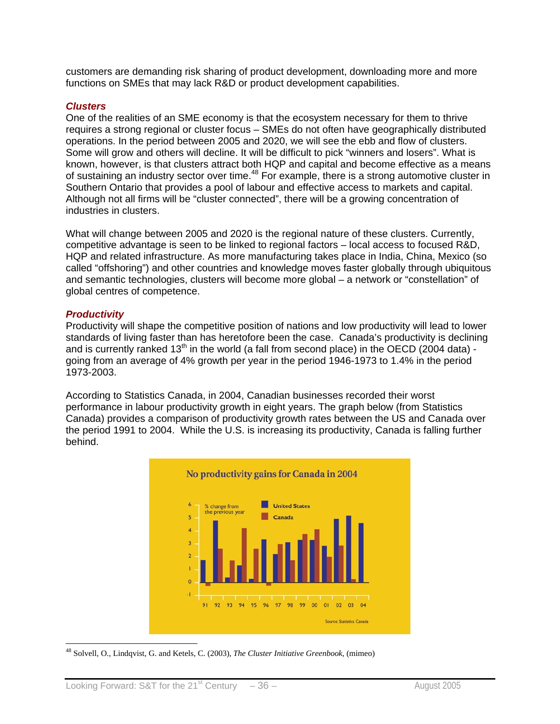customers are demanding risk sharing of product development, downloading more and more functions on SMEs that may lack R&D or product development capabilities.

#### *Clusters*

One of the realities of an SME economy is that the ecosystem necessary for them to thrive requires a strong regional or cluster focus – SMEs do not often have geographically distributed operations. In the period between 2005 and 2020, we will see the ebb and flow of clusters. Some will grow and others will decline. It will be difficult to pick "winners and losers". What is known, however, is that clusters attract both HQP and capital and become effective as a means of sustaining an industry sector over time.<sup>48</sup> For example, there is a strong automotive cluster in Southern Ontario that provides a pool of labour and effective access to markets and capital. Although not all firms will be "cluster connected", there will be a growing concentration of industries in clusters.

What will change between 2005 and 2020 is the regional nature of these clusters. Currently, competitive advantage is seen to be linked to regional factors – local access to focused R&D, HQP and related infrastructure. As more manufacturing takes place in India, China, Mexico (so called "offshoring") and other countries and knowledge moves faster globally through ubiquitous and semantic technologies, clusters will become more global – a network or "constellation" of global centres of competence.

#### *Productivity*

Productivity will shape the competitive position of nations and low productivity will lead to lower standards of living faster than has heretofore been the case. Canada's productivity is declining and is currently ranked  $13<sup>th</sup>$  in the world (a fall from second place) in the OECD (2004 data) going from an average of 4% growth per year in the period 1946-1973 to 1.4% in the period 1973-2003.

According to Statistics Canada, in 2004, Canadian businesses recorded their worst performance in labour productivity growth in eight years. The graph below (from Statistics Canada) provides a comparison of productivity growth rates between the US and Canada over the period 1991 to 2004. While the U.S. is increasing its productivity, Canada is falling further behind.



 $\overline{a}$ 48 Solvell, O., Lindqvist, G. and Ketels, C. (2003), *The Cluster Initiative Greenbook*, (mimeo)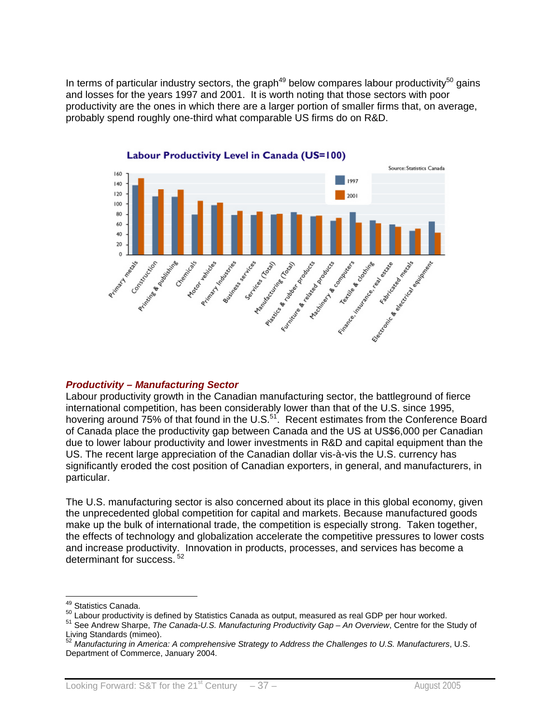In terms of particular industry sectors, the graph<sup>49</sup> below compares labour productivity<sup>50</sup> gains and losses for the years 1997 and 2001. It is worth noting that those sectors with poor productivity are the ones in which there are a larger portion of smaller firms that, on average, probably spend roughly one-third what comparable US firms do on R&D.



#### Labour Productivity Level in Canada (US=100)

#### *Productivity – Manufacturing Sector*

Labour productivity growth in the Canadian manufacturing sector, the battleground of fierce international competition, has been considerably lower than that of the U.S. since 1995, hovering around 75% of that found in the U.S.<sup>51</sup>. Recent estimates from the Conference Board of Canada place the productivity gap between Canada and the US at US\$6,000 per Canadian due to lower labour productivity and lower investments in R&D and capital equipment than the US. The recent large appreciation of the Canadian dollar vis-à-vis the U.S. currency has significantly eroded the cost position of Canadian exporters, in general, and manufacturers, in particular.

The U.S. manufacturing sector is also concerned about its place in this global economy, given the unprecedented global competition for capital and markets. Because manufactured goods make up the bulk of international trade, the competition is especially strong. Taken together, the effects of technology and globalization accelerate the competitive pressures to lower costs and increase productivity. Innovation in products, processes, and services has become a determinant for success.<sup>52</sup>

<sup>&</sup>lt;sup>49</sup> Statistics Canada.

<sup>&</sup>lt;sup>50</sup> Labour productivity is defined by Statistics Canada as output, measured as real GDP per hour worked.<br><sup>51</sup> See Andrew Sharpe, *The Canada-U.S. Manufacturing Productivity Gap – An Overview*, Centre for the Study of Living Standards (mimeo).

<sup>52</sup> *Manufacturing in America: A comprehensive Strategy to Address the Challenges to U.S. Manufacturers*, U.S. Department of Commerce, January 2004.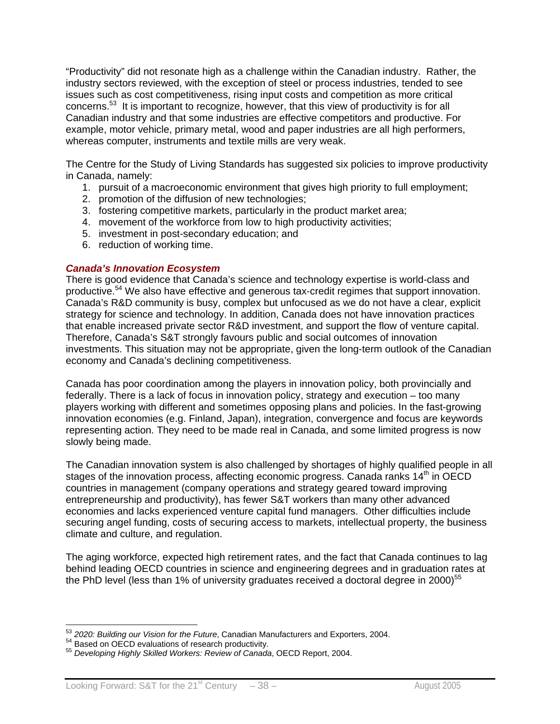"Productivity" did not resonate high as a challenge within the Canadian industry. Rather, the industry sectors reviewed, with the exception of steel or process industries, tended to see issues such as cost competitiveness, rising input costs and competition as more critical concerns.53 It is important to recognize, however, that this view of productivity is for all Canadian industry and that some industries are effective competitors and productive. For example, motor vehicle, primary metal, wood and paper industries are all high performers, whereas computer, instruments and textile mills are very weak.

The Centre for the Study of Living Standards has suggested six policies to improve productivity in Canada, namely:

- 1. pursuit of a macroeconomic environment that gives high priority to full employment;
- 2. promotion of the diffusion of new technologies;
- 3. fostering competitive markets, particularly in the product market area;
- 4. movement of the workforce from low to high productivity activities;
- 5. investment in post-secondary education; and
- 6. reduction of working time.

#### *Canada's Innovation Ecosystem*

There is good evidence that Canada's science and technology expertise is world-class and productive.54 We also have effective and generous tax-credit regimes that support innovation. Canada's R&D community is busy, complex but unfocused as we do not have a clear, explicit strategy for science and technology. In addition, Canada does not have innovation practices that enable increased private sector R&D investment, and support the flow of venture capital. Therefore, Canada's S&T strongly favours public and social outcomes of innovation investments. This situation may not be appropriate, given the long-term outlook of the Canadian economy and Canada's declining competitiveness.

Canada has poor coordination among the players in innovation policy, both provincially and federally. There is a lack of focus in innovation policy, strategy and execution – too many players working with different and sometimes opposing plans and policies. In the fast-growing innovation economies (e.g. Finland, Japan), integration, convergence and focus are keywords representing action. They need to be made real in Canada, and some limited progress is now slowly being made.

The Canadian innovation system is also challenged by shortages of highly qualified people in all stages of the innovation process, affecting economic progress. Canada ranks  $14<sup>th</sup>$  in OECD countries in management (company operations and strategy geared toward improving entrepreneurship and productivity), has fewer S&T workers than many other advanced economies and lacks experienced venture capital fund managers. Other difficulties include securing angel funding, costs of securing access to markets, intellectual property, the business climate and culture, and regulation.

The aging workforce, expected high retirement rates, and the fact that Canada continues to lag behind leading OECD countries in science and engineering degrees and in graduation rates at the PhD level (less than 1% of university graduates received a doctoral degree in 2000)<sup>55</sup>

 $\overline{a}$ <sup>53</sup> 2020: Building our Vision for the Future, Canadian Manufacturers and Exporters, 2004.<br><sup>54</sup> Based on OECD evaluations of research productivity.<br><sup>55</sup> Developing Highly Skilled Workers: Review of Canada, OECD Report, 200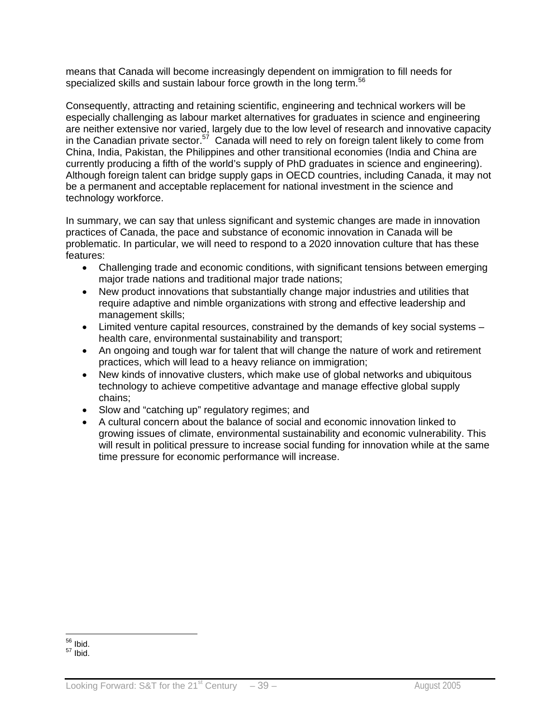means that Canada will become increasingly dependent on immigration to fill needs for specialized skills and sustain labour force growth in the long term.<sup>56</sup>

Consequently, attracting and retaining scientific, engineering and technical workers will be especially challenging as labour market alternatives for graduates in science and engineering are neither extensive nor varied, largely due to the low level of research and innovative capacity in the Canadian private sector.<sup>57</sup> Canada will need to rely on foreign talent likely to come from China, India, Pakistan, the Philippines and other transitional economies (India and China are currently producing a fifth of the world's supply of PhD graduates in science and engineering). Although foreign talent can bridge supply gaps in OECD countries, including Canada, it may not be a permanent and acceptable replacement for national investment in the science and technology workforce.

In summary, we can say that unless significant and systemic changes are made in innovation practices of Canada, the pace and substance of economic innovation in Canada will be problematic. In particular, we will need to respond to a 2020 innovation culture that has these features:

- Challenging trade and economic conditions, with significant tensions between emerging major trade nations and traditional major trade nations;
- New product innovations that substantially change major industries and utilities that require adaptive and nimble organizations with strong and effective leadership and management skills;
- Limited venture capital resources, constrained by the demands of key social systems health care, environmental sustainability and transport;
- An ongoing and tough war for talent that will change the nature of work and retirement practices, which will lead to a heavy reliance on immigration;
- New kinds of innovative clusters, which make use of global networks and ubiquitous technology to achieve competitive advantage and manage effective global supply chains;
- Slow and "catching up" regulatory regimes; and
- A cultural concern about the balance of social and economic innovation linked to growing issues of climate, environmental sustainability and economic vulnerability. This will result in political pressure to increase social funding for innovation while at the same time pressure for economic performance will increase.

 $56$  lbid.  $57$  Ibid.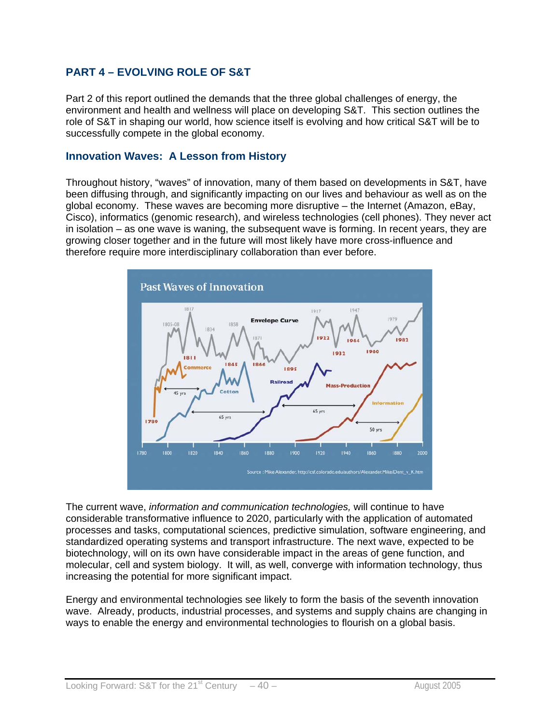## **PART 4 – EVOLVING ROLE OF S&T**

Part 2 of this report outlined the demands that the three global challenges of energy, the environment and health and wellness will place on developing S&T. This section outlines the role of S&T in shaping our world, how science itself is evolving and how critical S&T will be to successfully compete in the global economy.

#### **Innovation Waves: A Lesson from History**

Throughout history, "waves" of innovation, many of them based on developments in S&T, have been diffusing through, and significantly impacting on our lives and behaviour as well as on the global economy. These waves are becoming more disruptive – the Internet (Amazon, eBay, Cisco), informatics (genomic research), and wireless technologies (cell phones). They never act in isolation – as one wave is waning, the subsequent wave is forming. In recent years, they are growing closer together and in the future will most likely have more cross-influence and therefore require more interdisciplinary collaboration than ever before.



The current wave, *information and communication technologies,* will continue to have considerable transformative influence to 2020, particularly with the application of automated processes and tasks, computational sciences, predictive simulation, software engineering, and standardized operating systems and transport infrastructure. The next wave, expected to be biotechnology, will on its own have considerable impact in the areas of gene function, and molecular, cell and system biology. It will, as well, converge with information technology, thus increasing the potential for more significant impact.

Energy and environmental technologies see likely to form the basis of the seventh innovation wave. Already, products, industrial processes, and systems and supply chains are changing in ways to enable the energy and environmental technologies to flourish on a global basis.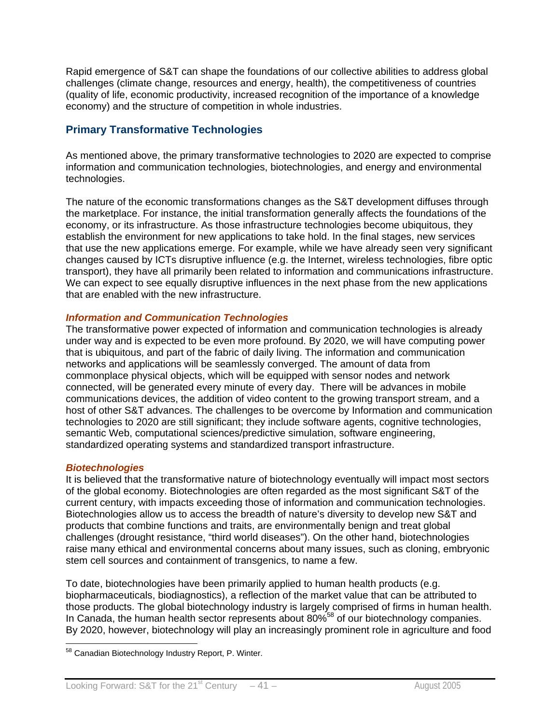Rapid emergence of S&T can shape the foundations of our collective abilities to address global challenges (climate change, resources and energy, health), the competitiveness of countries (quality of life, economic productivity, increased recognition of the importance of a knowledge economy) and the structure of competition in whole industries.

## **Primary Transformative Technologies**

As mentioned above, the primary transformative technologies to 2020 are expected to comprise information and communication technologies, biotechnologies, and energy and environmental technologies.

The nature of the economic transformations changes as the S&T development diffuses through the marketplace. For instance, the initial transformation generally affects the foundations of the economy, or its infrastructure. As those infrastructure technologies become ubiquitous, they establish the environment for new applications to take hold. In the final stages, new services that use the new applications emerge. For example, while we have already seen very significant changes caused by ICTs disruptive influence (e.g. the Internet, wireless technologies, fibre optic transport), they have all primarily been related to information and communications infrastructure. We can expect to see equally disruptive influences in the next phase from the new applications that are enabled with the new infrastructure.

#### *Information and Communication Technologies*

The transformative power expected of information and communication technologies is already under way and is expected to be even more profound. By 2020, we will have computing power that is ubiquitous, and part of the fabric of daily living. The information and communication networks and applications will be seamlessly converged. The amount of data from commonplace physical objects, which will be equipped with sensor nodes and network connected, will be generated every minute of every day. There will be advances in mobile communications devices, the addition of video content to the growing transport stream, and a host of other S&T advances. The challenges to be overcome by Information and communication technologies to 2020 are still significant; they include software agents, cognitive technologies, semantic Web, computational sciences/predictive simulation, software engineering, standardized operating systems and standardized transport infrastructure.

#### *Biotechnologies*

It is believed that the transformative nature of biotechnology eventually will impact most sectors of the global economy. Biotechnologies are often regarded as the most significant S&T of the current century, with impacts exceeding those of information and communication technologies. Biotechnologies allow us to access the breadth of nature's diversity to develop new S&T and products that combine functions and traits, are environmentally benign and treat global challenges (drought resistance, "third world diseases"). On the other hand, biotechnologies raise many ethical and environmental concerns about many issues, such as cloning, embryonic stem cell sources and containment of transgenics, to name a few.

To date, biotechnologies have been primarily applied to human health products (e.g. biopharmaceuticals, biodiagnostics), a reflection of the market value that can be attributed to those products. The global biotechnology industry is largely comprised of firms in human health. In Canada, the human health sector represents about 80%58 of our biotechnology companies. By 2020, however, biotechnology will play an increasingly prominent role in agriculture and food

 $\overline{a}$ <sup>58</sup> Canadian Biotechnology Industry Report, P. Winter.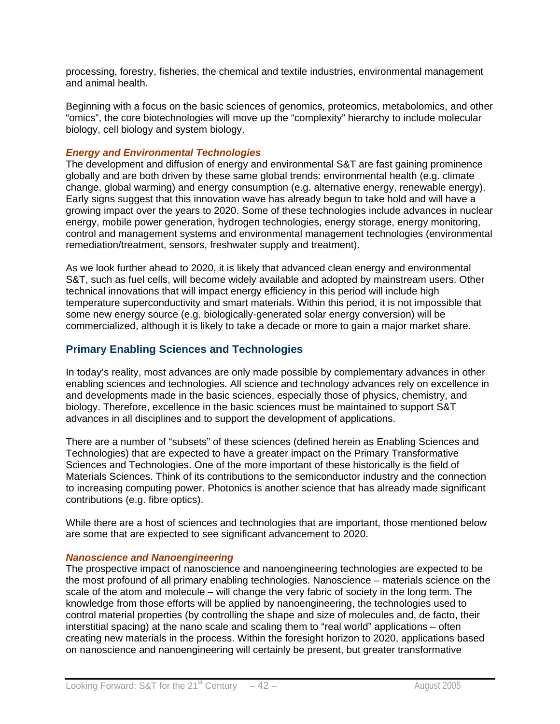processing, forestry, fisheries, the chemical and textile industries, environmental management and animal health.

Beginning with a focus on the basic sciences of genomics, proteomics, metabolomics, and other "omics", the core biotechnologies will move up the "complexity" hierarchy to include molecular biology, cell biology and system biology.

#### *Energy and Environmental Technologies*

The development and diffusion of energy and environmental S&T are fast gaining prominence globally and are both driven by these same global trends: environmental health (e.g. climate change, global warming) and energy consumption (e.g. alternative energy, renewable energy). Early signs suggest that this innovation wave has already begun to take hold and will have a growing impact over the years to 2020. Some of these technologies include advances in nuclear energy, mobile power generation, hydrogen technologies, energy storage, energy monitoring, control and management systems and environmental management technologies (environmental remediation/treatment, sensors, freshwater supply and treatment).

As we look further ahead to 2020, it is likely that advanced clean energy and environmental S&T, such as fuel cells, will become widely available and adopted by mainstream users. Other technical innovations that will impact energy efficiency in this period will include high temperature superconductivity and smart materials. Within this period, it is not impossible that some new energy source (e.g. biologically-generated solar energy conversion) will be commercialized, although it is likely to take a decade or more to gain a major market share.

## **Primary Enabling Sciences and Technologies**

In today's reality, most advances are only made possible by complementary advances in other enabling sciences and technologies. All science and technology advances rely on excellence in and developments made in the basic sciences, especially those of physics, chemistry, and biology. Therefore, excellence in the basic sciences must be maintained to support S&T advances in all disciplines and to support the development of applications.

There are a number of "subsets" of these sciences (defined herein as Enabling Sciences and Technologies) that are expected to have a greater impact on the Primary Transformative Sciences and Technologies. One of the more important of these historically is the field of Materials Sciences. Think of its contributions to the semiconductor industry and the connection to increasing computing power. Photonics is another science that has already made significant contributions (e.g. fibre optics).

While there are a host of sciences and technologies that are important, those mentioned below are some that are expected to see significant advancement to 2020.

#### *Nanoscience and Nanoengineering*

The prospective impact of nanoscience and nanoengineering technologies are expected to be the most profound of all primary enabling technologies. Nanoscience – materials science on the scale of the atom and molecule – will change the very fabric of society in the long term. The knowledge from those efforts will be applied by nanoengineering, the technologies used to control material properties (by controlling the shape and size of molecules and, de facto, their interstitial spacing) at the nano scale and scaling them to "real world" applications – often creating new materials in the process. Within the foresight horizon to 2020, applications based on nanoscience and nanoengineering will certainly be present, but greater transformative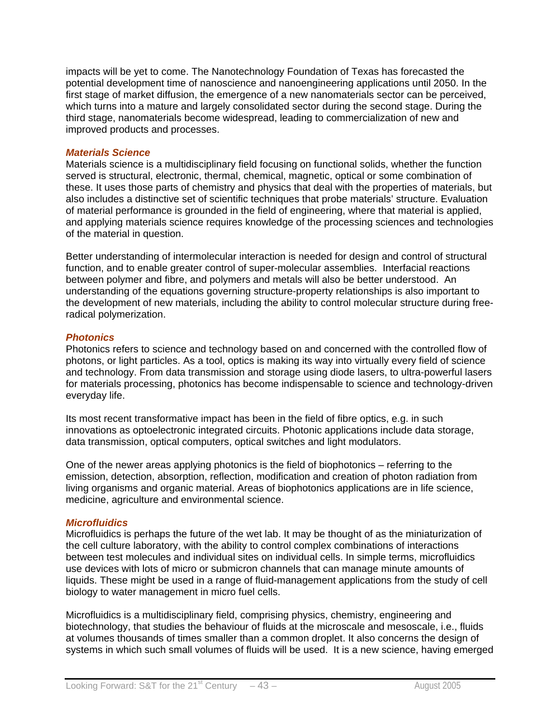impacts will be yet to come. The Nanotechnology Foundation of Texas has forecasted the potential development time of nanoscience and nanoengineering applications until 2050. In the first stage of market diffusion, the emergence of a new nanomaterials sector can be perceived, which turns into a mature and largely consolidated sector during the second stage. During the third stage, nanomaterials become widespread, leading to commercialization of new and improved products and processes.

#### *Materials Science*

Materials science is a multidisciplinary field focusing on functional solids, whether the function served is structural, electronic, thermal, chemical, magnetic, optical or some combination of these. It uses those parts of chemistry and physics that deal with the properties of materials, but also includes a distinctive set of scientific techniques that probe materials' structure. Evaluation of material performance is grounded in the field of engineering, where that material is applied, and applying materials science requires knowledge of the processing sciences and technologies of the material in question.

Better understanding of intermolecular interaction is needed for design and control of structural function, and to enable greater control of super-molecular assemblies. Interfacial reactions between polymer and fibre, and polymers and metals will also be better understood. An understanding of the equations governing structure-property relationships is also important to the development of new materials, including the ability to control molecular structure during freeradical polymerization.

#### *Photonics*

Photonics refers to science and technology based on and concerned with the controlled flow of photons, or light particles. As a tool, optics is making its way into virtually every field of science and technology. From data transmission and storage using diode lasers, to ultra-powerful lasers for materials processing, photonics has become indispensable to science and technology-driven everyday life.

Its most recent transformative impact has been in the field of fibre optics, e.g. in such innovations as optoelectronic integrated circuits. Photonic applications include data storage, data transmission, optical computers, optical switches and light modulators.

One of the newer areas applying photonics is the field of biophotonics – referring to the emission, detection, absorption, reflection, modification and creation of photon radiation from living organisms and organic material. Areas of biophotonics applications are in life science, medicine, agriculture and environmental science.

#### *Microfluidics*

Microfluidics is perhaps the future of the wet lab. It may be thought of as the miniaturization of the cell culture laboratory, with the ability to control complex combinations of interactions between test molecules and individual sites on individual cells. In simple terms, microfluidics use devices with lots of micro or submicron channels that can manage minute amounts of liquids. These might be used in a range of fluid-management applications from the study of cell biology to water management in micro fuel cells.

Microfluidics is a multidisciplinary field, comprising physics, chemistry, engineering and biotechnology, that studies the behaviour of fluids at the microscale and mesoscale, i.e., fluids at volumes thousands of times smaller than a common droplet. It also concerns the design of systems in which such small volumes of fluids will be used. It is a new science, having emerged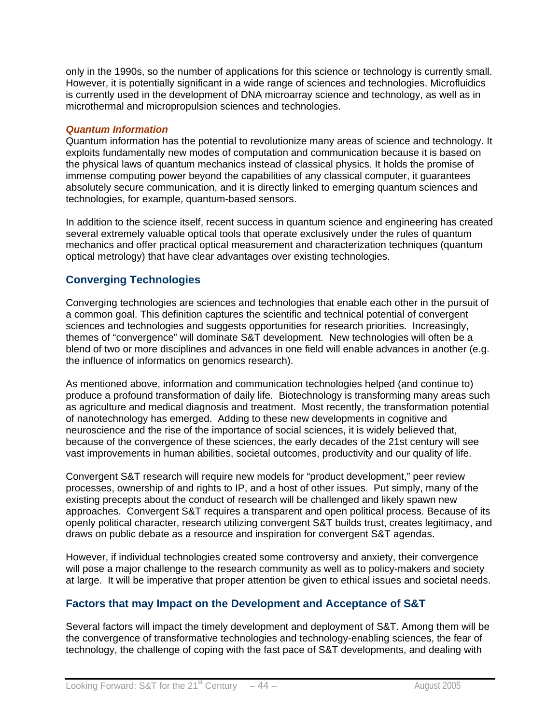only in the 1990s, so the number of applications for this science or technology is currently small. However, it is potentially significant in a wide range of sciences and technologies. Microfluidics is currently used in the development of DNA microarray science and technology, as well as in microthermal and micropropulsion sciences and technologies.

#### *Quantum Information*

Quantum information has the potential to revolutionize many areas of science and technology. It exploits fundamentally new modes of computation and communication because it is based on the physical laws of quantum mechanics instead of classical physics. It holds the promise of immense computing power beyond the capabilities of any classical computer, it guarantees absolutely secure communication, and it is directly linked to emerging quantum sciences and technologies, for example, quantum-based sensors.

In addition to the science itself, recent success in quantum science and engineering has created several extremely valuable optical tools that operate exclusively under the rules of quantum mechanics and offer practical optical measurement and characterization techniques (quantum optical metrology) that have clear advantages over existing technologies.

## **Converging Technologies**

Converging technologies are sciences and technologies that enable each other in the pursuit of a common goal. This definition captures the scientific and technical potential of convergent sciences and technologies and suggests opportunities for research priorities. Increasingly, themes of "convergence" will dominate S&T development. New technologies will often be a blend of two or more disciplines and advances in one field will enable advances in another (e.g. the influence of informatics on genomics research).

As mentioned above, information and communication technologies helped (and continue to) produce a profound transformation of daily life. Biotechnology is transforming many areas such as agriculture and medical diagnosis and treatment. Most recently, the transformation potential of nanotechnology has emerged. Adding to these new developments in cognitive and neuroscience and the rise of the importance of social sciences, it is widely believed that, because of the convergence of these sciences, the early decades of the 21st century will see vast improvements in human abilities, societal outcomes, productivity and our quality of life.

Convergent S&T research will require new models for "product development," peer review processes, ownership of and rights to IP, and a host of other issues. Put simply, many of the existing precepts about the conduct of research will be challenged and likely spawn new approaches. Convergent S&T requires a transparent and open political process. Because of its openly political character, research utilizing convergent S&T builds trust, creates legitimacy, and draws on public debate as a resource and inspiration for convergent S&T agendas.

However, if individual technologies created some controversy and anxiety, their convergence will pose a major challenge to the research community as well as to policy-makers and society at large. It will be imperative that proper attention be given to ethical issues and societal needs.

## **Factors that may Impact on the Development and Acceptance of S&T**

Several factors will impact the timely development and deployment of S&T. Among them will be the convergence of transformative technologies and technology-enabling sciences, the fear of technology, the challenge of coping with the fast pace of S&T developments, and dealing with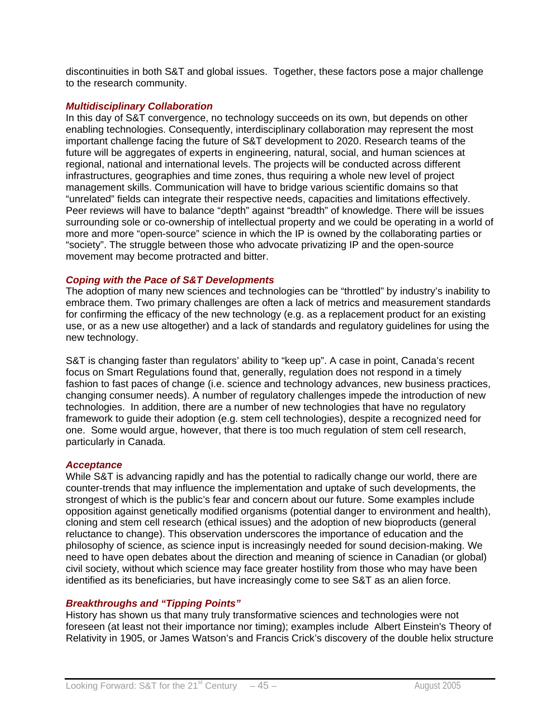discontinuities in both S&T and global issues. Together, these factors pose a major challenge to the research community.

#### *Multidisciplinary Collaboration*

In this day of S&T convergence, no technology succeeds on its own, but depends on other enabling technologies. Consequently, interdisciplinary collaboration may represent the most important challenge facing the future of S&T development to 2020. Research teams of the future will be aggregates of experts in engineering, natural, social, and human sciences at regional, national and international levels. The projects will be conducted across different infrastructures, geographies and time zones, thus requiring a whole new level of project management skills. Communication will have to bridge various scientific domains so that "unrelated" fields can integrate their respective needs, capacities and limitations effectively. Peer reviews will have to balance "depth" against "breadth" of knowledge. There will be issues surrounding sole or co-ownership of intellectual property and we could be operating in a world of more and more "open-source" science in which the IP is owned by the collaborating parties or "society". The struggle between those who advocate privatizing IP and the open-source movement may become protracted and bitter.

#### *Coping with the Pace of S&T Developments*

The adoption of many new sciences and technologies can be "throttled" by industry's inability to embrace them. Two primary challenges are often a lack of metrics and measurement standards for confirming the efficacy of the new technology (e.g. as a replacement product for an existing use, or as a new use altogether) and a lack of standards and regulatory guidelines for using the new technology.

S&T is changing faster than regulators' ability to "keep up". A case in point, Canada's recent focus on Smart Regulations found that, generally, regulation does not respond in a timely fashion to fast paces of change (i.e. science and technology advances, new business practices, changing consumer needs). A number of regulatory challenges impede the introduction of new technologies. In addition, there are a number of new technologies that have no regulatory framework to guide their adoption (e.g. stem cell technologies), despite a recognized need for one. Some would argue, however, that there is too much regulation of stem cell research, particularly in Canada.

#### *Acceptance*

While S&T is advancing rapidly and has the potential to radically change our world, there are counter-trends that may influence the implementation and uptake of such developments, the strongest of which is the public's fear and concern about our future. Some examples include opposition against genetically modified organisms (potential danger to environment and health), cloning and stem cell research (ethical issues) and the adoption of new bioproducts (general reluctance to change). This observation underscores the importance of education and the philosophy of science, as science input is increasingly needed for sound decision-making. We need to have open debates about the direction and meaning of science in Canadian (or global) civil society, without which science may face greater hostility from those who may have been identified as its beneficiaries, but have increasingly come to see S&T as an alien force.

#### *Breakthroughs and "Tipping Points"*

History has shown us that many truly transformative sciences and technologies were not foreseen (at least not their importance nor timing); examples include Albert Einstein's Theory of Relativity in 1905, or James Watson's and Francis Crick's discovery of the double helix structure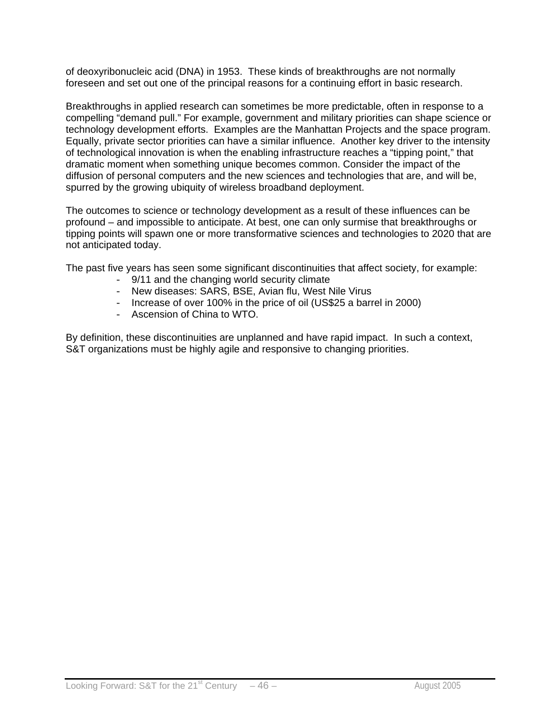of deoxyribonucleic acid (DNA) in 1953. These kinds of breakthroughs are not normally foreseen and set out one of the principal reasons for a continuing effort in basic research.

Breakthroughs in applied research can sometimes be more predictable, often in response to a compelling "demand pull." For example, government and military priorities can shape science or technology development efforts. Examples are the Manhattan Projects and the space program. Equally, private sector priorities can have a similar influence. Another key driver to the intensity of technological innovation is when the enabling infrastructure reaches a "tipping point," that dramatic moment when something unique becomes common. Consider the impact of the diffusion of personal computers and the new sciences and technologies that are, and will be, spurred by the growing ubiquity of wireless broadband deployment.

The outcomes to science or technology development as a result of these influences can be profound – and impossible to anticipate. At best, one can only surmise that breakthroughs or tipping points will spawn one or more transformative sciences and technologies to 2020 that are not anticipated today.

The past five years has seen some significant discontinuities that affect society, for example:

- 9/11 and the changing world security climate
- New diseases: SARS, BSE, Avian flu, West Nile Virus
- Increase of over 100% in the price of oil (US\$25 a barrel in 2000)
- Ascension of China to WTO.

By definition, these discontinuities are unplanned and have rapid impact. In such a context, S&T organizations must be highly agile and responsive to changing priorities.